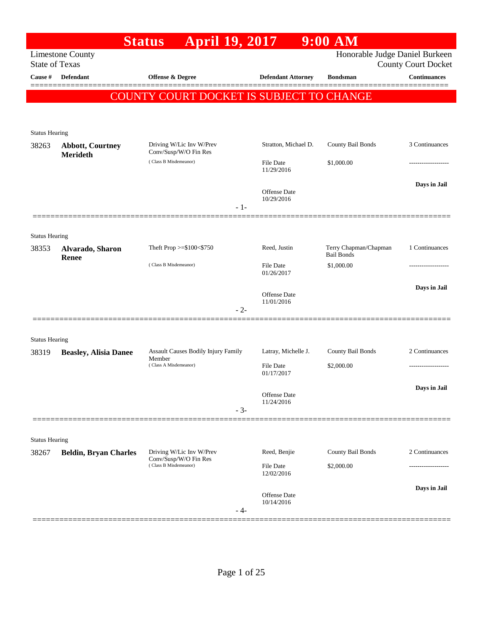|                       |                                     | <b>April 19, 2017</b><br><b>Status</b>            |                                | $9:00$ AM                                    |                                                              |
|-----------------------|-------------------------------------|---------------------------------------------------|--------------------------------|----------------------------------------------|--------------------------------------------------------------|
| <b>State of Texas</b> | <b>Limestone County</b>             |                                                   |                                |                                              | Honorable Judge Daniel Burkeen<br><b>County Court Docket</b> |
| Cause #               | <b>Defendant</b>                    | Offense & Degree                                  |                                | <b>Defendant Attorney</b><br><b>Bondsman</b> | <b>Continuances</b>                                          |
|                       |                                     |                                                   |                                |                                              |                                                              |
|                       |                                     | COUNTY COURT DOCKET IS SUBJECT TO CHANGE          |                                |                                              |                                                              |
|                       |                                     |                                                   |                                |                                              |                                                              |
| <b>Status Hearing</b> |                                     |                                                   |                                |                                              |                                                              |
| 38263                 | <b>Abbott, Courtney</b><br>Merideth | Driving W/Lic Inv W/Prev<br>Conv/Susp/W/O Fin Res |                                | County Bail Bonds<br>Stratton, Michael D.    | 3 Continuances                                               |
|                       |                                     | (Class B Misdemeanor)                             | <b>File Date</b><br>11/29/2016 | \$1,000.00                                   |                                                              |
|                       |                                     |                                                   | <b>Offense</b> Date            |                                              | Days in Jail                                                 |
|                       |                                     |                                                   | 10/29/2016<br>$-1-$            |                                              |                                                              |
|                       |                                     |                                                   |                                |                                              |                                                              |
| <b>Status Hearing</b> |                                     |                                                   |                                |                                              |                                                              |
| 38353                 | Alvarado, Sharon<br>Renee           | Theft Prop >=\$100<\$750                          | Reed, Justin                   | Terry Chapman/Chapman<br><b>Bail Bonds</b>   | 1 Continuances                                               |
|                       |                                     | (Class B Misdemeanor)                             | File Date<br>01/26/2017        | \$1,000.00                                   |                                                              |
|                       |                                     |                                                   | <b>Offense Date</b>            |                                              | Days in Jail                                                 |
|                       |                                     |                                                   | 11/01/2016<br>$-2-$            |                                              |                                                              |
|                       |                                     |                                                   |                                |                                              |                                                              |
| <b>Status Hearing</b> |                                     |                                                   |                                |                                              |                                                              |
| 38319                 | <b>Beasley, Alisia Danee</b>        | Assault Causes Bodily Injury Family               | Latray, Michelle J.            | County Bail Bonds                            | 2 Continuances                                               |
|                       |                                     | Member<br>(Class A Misdemeanor)                   | File Date<br>01/17/2017        | \$2,000.00                                   |                                                              |
|                       |                                     |                                                   |                                |                                              | Days in Jail                                                 |
|                       |                                     |                                                   | Offense Date<br>11/24/2016     |                                              |                                                              |
|                       |                                     |                                                   | $-3-$                          |                                              |                                                              |
|                       |                                     |                                                   |                                |                                              |                                                              |
| <b>Status Hearing</b> |                                     |                                                   |                                |                                              |                                                              |
| 38267                 | <b>Beldin, Bryan Charles</b>        | Driving W/Lic Inv W/Prev<br>Conv/Susp/W/O Fin Res | Reed, Benjie                   | County Bail Bonds                            | 2 Continuances                                               |
|                       |                                     | (Class B Misdemeanor)                             | <b>File Date</b><br>12/02/2016 | \$2,000.00                                   |                                                              |
|                       |                                     |                                                   |                                |                                              | Days in Jail                                                 |
|                       |                                     |                                                   | Offense Date<br>10/14/2016     |                                              |                                                              |
|                       |                                     |                                                   | - 4-                           |                                              |                                                              |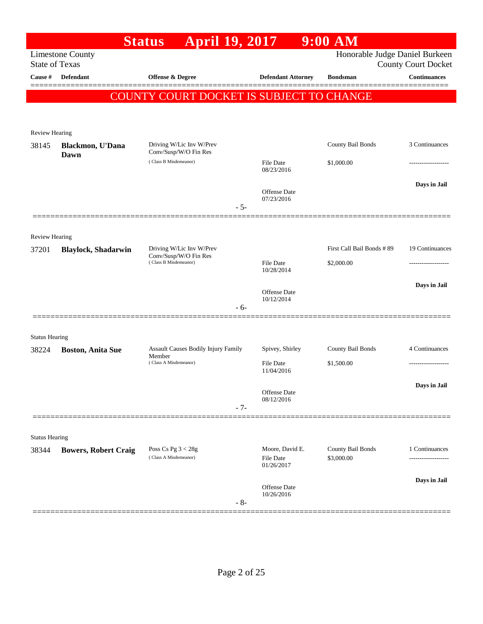|                                |                             | <b>April 19, 2017</b><br><b>Status</b>                                     |                                            | $9:00$ AM                               |                            |
|--------------------------------|-----------------------------|----------------------------------------------------------------------------|--------------------------------------------|-----------------------------------------|----------------------------|
| <b>State of Texas</b>          | <b>Limestone County</b>     |                                                                            |                                            | Honorable Judge Daniel Burkeen          | <b>County Court Docket</b> |
| Cause #                        | <b>Defendant</b>            | <b>Offense &amp; Degree</b>                                                | <b>Defendant Attorney</b>                  | <b>Bondsman</b>                         | <b>Continuances</b>        |
|                                |                             | COUNTY COURT DOCKET IS SUBJECT TO CHANGE                                   |                                            |                                         |                            |
| Review Hearing                 |                             |                                                                            |                                            |                                         |                            |
| 38145                          | Blackmon, U'Dana<br>Dawn    | Driving W/Lic Inv W/Prev<br>Conv/Susp/W/O Fin Res                          |                                            | County Bail Bonds                       | 3 Continuances             |
|                                |                             | (Class B Misdemeanor)                                                      | <b>File Date</b><br>08/23/2016             | \$1,000.00                              | -----------------          |
|                                |                             | $-5-$                                                                      | <b>Offense Date</b><br>07/23/2016          |                                         | Days in Jail               |
|                                |                             |                                                                            |                                            |                                         |                            |
| <b>Review Hearing</b><br>37201 | <b>Blaylock, Shadarwin</b>  | Driving W/Lic Inv W/Prev<br>Conv/Susp/W/O Fin Res<br>(Class B Misdemeanor) | <b>File Date</b>                           | First Call Bail Bonds #89<br>\$2,000.00 | 19 Continuances<br>.       |
|                                |                             |                                                                            | 10/28/2014<br><b>Offense Date</b>          |                                         | Days in Jail               |
|                                |                             | $-6-$                                                                      | 10/12/2014                                 |                                         |                            |
| <b>Status Hearing</b>          |                             |                                                                            |                                            |                                         |                            |
| 38224                          | <b>Boston, Anita Sue</b>    | <b>Assault Causes Bodily Injury Family</b><br>Member                       | Spivey, Shirley                            | County Bail Bonds                       | 4 Continuances             |
|                                |                             | (Class A Misdemeanor)                                                      | <b>File Date</b><br>11/04/2016             | \$1,500.00                              |                            |
|                                |                             | $-7-$                                                                      | Offense Date<br>08/12/2016                 |                                         | Days in Jail               |
|                                |                             |                                                                            |                                            |                                         |                            |
| <b>Status Hearing</b>          |                             |                                                                            |                                            |                                         |                            |
| 38344                          | <b>Bowers, Robert Craig</b> | Poss Cs Pg $3 < 28g$<br>(Class A Misdemeanor)                              | Moore, David E.<br>File Date<br>01/26/2017 | County Bail Bonds<br>\$3,000.00         | 1 Continuances<br>.        |
|                                |                             | $-8-$                                                                      | <b>Offense Date</b><br>10/26/2016          |                                         | Days in Jail               |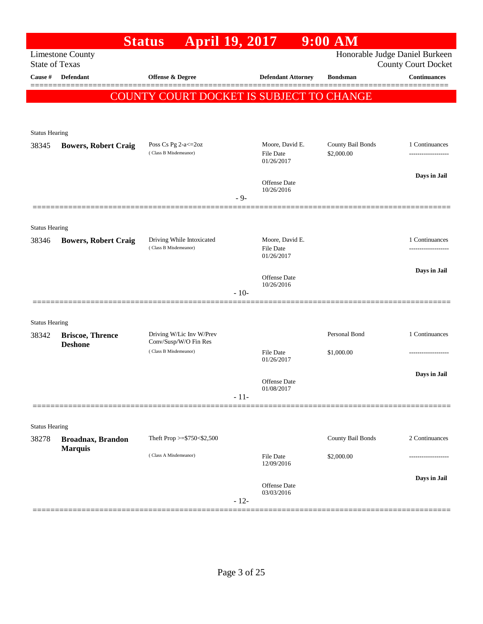|                       |                                            | <b>April 19, 2017</b><br><b>Status</b>             |        |                                     | $9:00$ AM                       |                                                              |
|-----------------------|--------------------------------------------|----------------------------------------------------|--------|-------------------------------------|---------------------------------|--------------------------------------------------------------|
| <b>State of Texas</b> | <b>Limestone County</b>                    |                                                    |        |                                     |                                 | Honorable Judge Daniel Burkeen<br><b>County Court Docket</b> |
| Cause #               | <b>Defendant</b>                           | Offense & Degree                                   |        | <b>Defendant Attorney</b>           | <b>Bondsman</b>                 | <b>Continuances</b>                                          |
|                       |                                            |                                                    |        |                                     |                                 |                                                              |
|                       |                                            | COUNTY COURT DOCKET IS SUBJECT TO CHANGE           |        |                                     |                                 |                                                              |
|                       |                                            |                                                    |        |                                     |                                 |                                                              |
| <b>Status Hearing</b> |                                            |                                                    |        |                                     |                                 |                                                              |
| 38345                 | <b>Bowers, Robert Craig</b>                | Poss Cs Pg 2-a <= 20z<br>(Class B Misdemeanor)     |        | Moore, David E.<br><b>File Date</b> | County Bail Bonds<br>\$2,000.00 | 1 Continuances                                               |
|                       |                                            |                                                    |        | 01/26/2017                          |                                 |                                                              |
|                       |                                            |                                                    |        | Offense Date                        |                                 | Days in Jail                                                 |
|                       |                                            |                                                    | $-9-$  | 10/26/2016                          |                                 |                                                              |
|                       |                                            |                                                    |        |                                     |                                 |                                                              |
| <b>Status Hearing</b> |                                            |                                                    |        |                                     |                                 |                                                              |
| 38346                 | <b>Bowers, Robert Craig</b>                | Driving While Intoxicated<br>(Class B Misdemeanor) |        | Moore, David E.<br><b>File Date</b> |                                 | 1 Continuances                                               |
|                       |                                            |                                                    |        | 01/26/2017                          |                                 |                                                              |
|                       |                                            |                                                    |        | <b>Offense Date</b>                 |                                 | Days in Jail                                                 |
|                       |                                            |                                                    | $-10-$ | 10/26/2016                          |                                 |                                                              |
|                       |                                            |                                                    |        |                                     |                                 |                                                              |
| <b>Status Hearing</b> |                                            |                                                    |        |                                     |                                 |                                                              |
| 38342                 | <b>Briscoe, Thrence</b>                    | Driving W/Lic Inv W/Prev<br>Conv/Susp/W/O Fin Res  |        |                                     | Personal Bond                   | 1 Continuances                                               |
|                       | <b>Deshone</b>                             | (Class B Misdemeanor)                              |        | <b>File Date</b>                    | \$1,000.00                      |                                                              |
|                       |                                            |                                                    |        | 01/26/2017                          |                                 | Days in Jail                                                 |
|                       |                                            |                                                    |        | <b>Offense Date</b><br>01/08/2017   |                                 |                                                              |
|                       |                                            |                                                    | $-11-$ |                                     |                                 |                                                              |
|                       |                                            |                                                    |        |                                     |                                 |                                                              |
| <b>Status Hearing</b> |                                            |                                                    |        |                                     |                                 |                                                              |
| 38278                 | <b>Broadnax, Brandon</b><br><b>Marquis</b> | Theft Prop >=\$750<\$2,500                         |        |                                     | County Bail Bonds               | 2 Continuances                                               |
|                       |                                            | (Class A Misdemeanor)                              |        | <b>File Date</b><br>12/09/2016      | \$2,000.00                      |                                                              |
|                       |                                            |                                                    |        |                                     |                                 | Days in Jail                                                 |
|                       |                                            |                                                    |        | Offense Date<br>03/03/2016          |                                 |                                                              |
|                       |                                            |                                                    | $-12-$ |                                     |                                 |                                                              |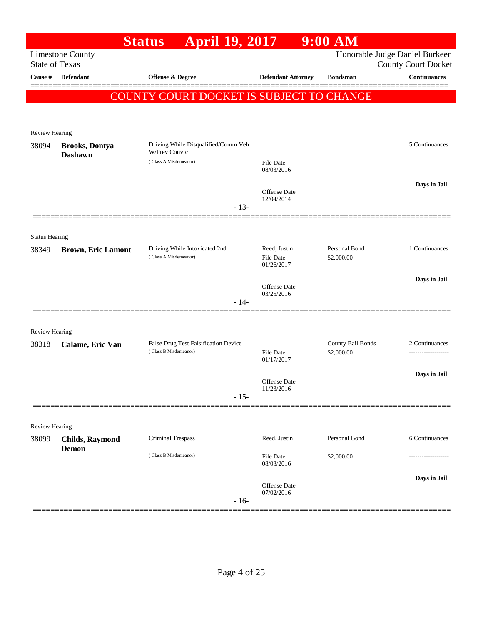|                       |                                         | <b>Status</b>                                                 | <b>April 19, 2017</b>          |                                             | $9:00$ AM                                |                                                              |
|-----------------------|-----------------------------------------|---------------------------------------------------------------|--------------------------------|---------------------------------------------|------------------------------------------|--------------------------------------------------------------|
| <b>State of Texas</b> | <b>Limestone County</b>                 |                                                               |                                |                                             |                                          | Honorable Judge Daniel Burkeen<br><b>County Court Docket</b> |
| Cause #               | <b>Defendant</b>                        | <b>Offense &amp; Degree</b>                                   |                                | <b>Defendant Attorney</b>                   | <b>Bondsman</b>                          | <b>Continuances</b>                                          |
|                       |                                         |                                                               |                                |                                             |                                          |                                                              |
|                       |                                         |                                                               |                                |                                             | COUNTY COURT DOCKET IS SUBJECT TO CHANGE |                                                              |
|                       |                                         |                                                               |                                |                                             |                                          |                                                              |
| Review Hearing        |                                         |                                                               |                                |                                             |                                          |                                                              |
| 38094                 | <b>Brooks, Dontya</b><br><b>Dashawn</b> | Driving While Disqualified/Comm Veh<br><b>W/Prev Convic</b>   |                                |                                             |                                          | 5 Continuances                                               |
|                       |                                         | (Class A Misdemeanor)                                         |                                | <b>File Date</b><br>08/03/2016              |                                          |                                                              |
|                       |                                         |                                                               |                                | <b>Offense Date</b><br>12/04/2014<br>$-13-$ |                                          | Days in Jail                                                 |
|                       |                                         |                                                               |                                |                                             |                                          |                                                              |
| <b>Status Hearing</b> |                                         |                                                               |                                |                                             |                                          |                                                              |
| 38349                 | <b>Brown, Eric Lamont</b>               | Driving While Intoxicated 2nd                                 |                                | Reed, Justin                                | Personal Bond                            | 1 Continuances                                               |
|                       |                                         | (Class A Misdemeanor)                                         |                                | <b>File Date</b><br>01/26/2017              | \$2,000.00                               | ------------------                                           |
|                       |                                         |                                                               |                                | <b>Offense Date</b>                         |                                          | Days in Jail                                                 |
|                       |                                         |                                                               |                                | 03/25/2016<br>$-14-$                        |                                          |                                                              |
|                       |                                         |                                                               |                                |                                             |                                          |                                                              |
| <b>Review Hearing</b> |                                         |                                                               |                                |                                             |                                          |                                                              |
| 38318                 | Calame, Eric Van                        | False Drug Test Falsification Device<br>(Class B Misdemeanor) |                                | <b>File Date</b>                            | County Bail Bonds<br>\$2,000.00          | 2 Continuances                                               |
|                       |                                         |                                                               |                                | 01/17/2017                                  |                                          |                                                              |
|                       |                                         |                                                               |                                | <b>Offense Date</b>                         |                                          | Days in Jail                                                 |
|                       |                                         |                                                               |                                | 11/23/2016<br>$-15-$                        |                                          |                                                              |
|                       |                                         |                                                               |                                |                                             |                                          |                                                              |
| <b>Review Hearing</b> |                                         |                                                               |                                |                                             |                                          |                                                              |
| 38099                 | <b>Childs, Raymond</b><br><b>Demon</b>  | Criminal Trespass                                             |                                | Reed, Justin                                | Personal Bond                            | 6 Continuances                                               |
|                       |                                         | (Class B Misdemeanor)                                         | <b>File Date</b><br>08/03/2016 | \$2,000.00                                  |                                          |                                                              |
|                       |                                         |                                                               |                                | Offense Date                                |                                          | Days in Jail                                                 |
|                       |                                         |                                                               |                                | 07/02/2016<br>$-16-$                        |                                          |                                                              |
|                       |                                         |                                                               |                                |                                             |                                          |                                                              |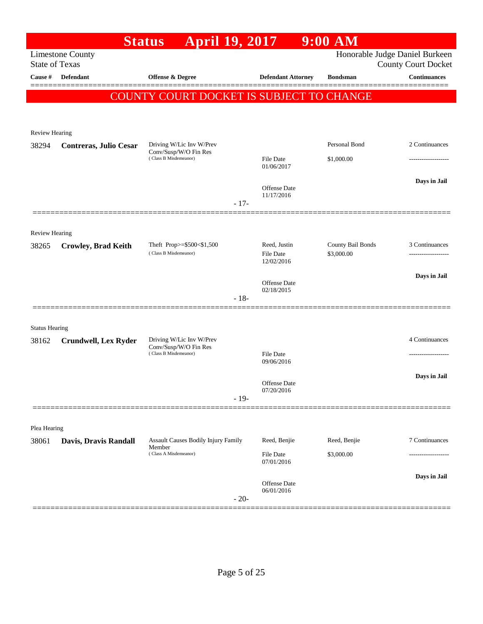|                       |                               | <b>April 19, 2017</b><br><b>Status</b>             |        |                                   | $9:00$ AM                       |                                                              |
|-----------------------|-------------------------------|----------------------------------------------------|--------|-----------------------------------|---------------------------------|--------------------------------------------------------------|
| <b>State of Texas</b> | <b>Limestone County</b>       |                                                    |        |                                   |                                 | Honorable Judge Daniel Burkeen<br><b>County Court Docket</b> |
| Cause #               | Defendant                     | Offense & Degree                                   |        | <b>Defendant Attorney</b>         | <b>Bondsman</b>                 | <b>Continuances</b>                                          |
|                       |                               |                                                    |        |                                   |                                 | ========                                                     |
|                       |                               | COUNTY COURT DOCKET IS SUBJECT TO CHANGE           |        |                                   |                                 |                                                              |
|                       |                               |                                                    |        |                                   |                                 |                                                              |
| Review Hearing        |                               |                                                    |        |                                   |                                 |                                                              |
| 38294                 | <b>Contreras, Julio Cesar</b> | Driving W/Lic Inv W/Prev<br>Conv/Susp/W/O Fin Res  |        |                                   | Personal Bond                   | 2 Continuances                                               |
|                       |                               | (Class B Misdemeanor)                              |        | File Date<br>01/06/2017           | \$1,000.00                      |                                                              |
|                       |                               |                                                    |        |                                   |                                 | Days in Jail                                                 |
|                       |                               |                                                    |        | <b>Offense</b> Date<br>11/17/2016 |                                 |                                                              |
|                       |                               |                                                    | $-17-$ |                                   |                                 |                                                              |
|                       |                               |                                                    |        |                                   |                                 |                                                              |
| <b>Review Hearing</b> |                               |                                                    |        |                                   |                                 |                                                              |
| 38265                 | <b>Crowley, Brad Keith</b>    | Theft Prop>=\$500<\$1,500<br>(Class B Misdemeanor) |        | Reed, Justin<br>File Date         | County Bail Bonds<br>\$3,000.00 | 3 Continuances                                               |
|                       |                               |                                                    |        | 12/02/2016                        |                                 |                                                              |
|                       |                               |                                                    |        | Offense Date                      |                                 | Days in Jail                                                 |
|                       |                               |                                                    | $-18-$ | 02/18/2015                        |                                 |                                                              |
|                       |                               |                                                    |        |                                   |                                 |                                                              |
| <b>Status Hearing</b> |                               |                                                    |        |                                   |                                 |                                                              |
| 38162                 | <b>Crundwell, Lex Ryder</b>   | Driving W/Lic Inv W/Prev<br>Conv/Susp/W/O Fin Res  |        |                                   |                                 | 4 Continuances                                               |
|                       |                               | (Class B Misdemeanor)                              |        | <b>File Date</b><br>09/06/2016    |                                 |                                                              |
|                       |                               |                                                    |        |                                   |                                 | Days in Jail                                                 |
|                       |                               |                                                    |        | Offense Date<br>07/20/2016        |                                 |                                                              |
|                       |                               |                                                    | $-19-$ |                                   |                                 |                                                              |
|                       |                               |                                                    |        |                                   |                                 |                                                              |
| Plea Hearing          |                               |                                                    |        |                                   |                                 |                                                              |
| 38061                 | Davis, Dravis Randall         | Assault Causes Bodily Injury Family<br>Member      |        | Reed, Benjie                      | Reed, Benjie                    | 7 Continuances                                               |
|                       |                               | (Class A Misdemeanor)                              |        | File Date<br>07/01/2016           | \$3,000.00                      |                                                              |
|                       |                               |                                                    |        |                                   |                                 | Days in Jail                                                 |
|                       |                               |                                                    |        | Offense Date<br>06/01/2016        |                                 |                                                              |
|                       |                               |                                                    | $-20-$ |                                   |                                 |                                                              |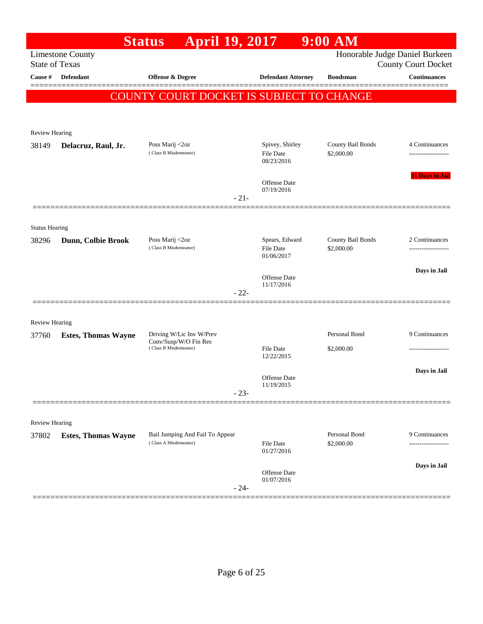| Honorable Judge Daniel Burkeen<br><b>Limestone County</b><br><b>State of Texas</b><br><b>County Court Docket</b><br><b>Offense &amp; Degree</b><br><b>Continuances</b><br>Cause #<br>Defendant<br><b>Defendant Attorney</b><br><b>Bondsman</b><br>COUNTY COURT DOCKET IS SUBJECT TO CHANGE<br>Review Hearing<br>Spivey, Shirley<br>County Bail Bonds<br>Poss Marij <2oz<br>Delacruz, Raul, Jr.<br>(Class B Misdemeanor)<br>File Date<br>\$2,000.00<br>08/23/2016<br><b>Offense</b> Date<br>07/19/2016<br>$-21-$<br><b>Status Hearing</b><br>Poss Marij <2oz<br>Spears, Edward<br>County Bail Bonds<br>Dunn, Colbie Brook<br>(Class B Misdemeanor)<br>File Date<br>\$2,000.00<br>01/06/2017<br><b>Offense</b> Date<br>11/17/2016<br>$-22-$<br><b>Review Hearing</b><br>Personal Bond<br>Driving W/Lic Inv W/Prev<br><b>Estes, Thomas Wayne</b><br>37760<br>Conv/Susp/W/O Fin Res<br>(Class B Misdemeanor)<br><b>File Date</b><br>\$2,000.00<br>12/22/2015<br>Offense Date<br>11/19/2015<br>$-23-$<br>Review Hearing<br>Personal Bond<br>Bail Jumping And Fail To Appear<br><b>Estes, Thomas Wayne</b><br>(Class A Misdemeanor)<br>\$2,000.00<br>File Date<br>01/27/2016<br>Days in Jail<br>Offense Date<br>01/07/2016<br>$-24-$ |       | <b>April 19, 2017</b><br><b>Status</b> | $9:00$ AM |                        |
|--------------------------------------------------------------------------------------------------------------------------------------------------------------------------------------------------------------------------------------------------------------------------------------------------------------------------------------------------------------------------------------------------------------------------------------------------------------------------------------------------------------------------------------------------------------------------------------------------------------------------------------------------------------------------------------------------------------------------------------------------------------------------------------------------------------------------------------------------------------------------------------------------------------------------------------------------------------------------------------------------------------------------------------------------------------------------------------------------------------------------------------------------------------------------------------------------------------------------------|-------|----------------------------------------|-----------|------------------------|
|                                                                                                                                                                                                                                                                                                                                                                                                                                                                                                                                                                                                                                                                                                                                                                                                                                                                                                                                                                                                                                                                                                                                                                                                                                |       |                                        |           |                        |
|                                                                                                                                                                                                                                                                                                                                                                                                                                                                                                                                                                                                                                                                                                                                                                                                                                                                                                                                                                                                                                                                                                                                                                                                                                |       |                                        |           |                        |
|                                                                                                                                                                                                                                                                                                                                                                                                                                                                                                                                                                                                                                                                                                                                                                                                                                                                                                                                                                                                                                                                                                                                                                                                                                |       |                                        |           |                        |
|                                                                                                                                                                                                                                                                                                                                                                                                                                                                                                                                                                                                                                                                                                                                                                                                                                                                                                                                                                                                                                                                                                                                                                                                                                |       |                                        |           |                        |
|                                                                                                                                                                                                                                                                                                                                                                                                                                                                                                                                                                                                                                                                                                                                                                                                                                                                                                                                                                                                                                                                                                                                                                                                                                |       |                                        |           |                        |
|                                                                                                                                                                                                                                                                                                                                                                                                                                                                                                                                                                                                                                                                                                                                                                                                                                                                                                                                                                                                                                                                                                                                                                                                                                |       |                                        |           |                        |
|                                                                                                                                                                                                                                                                                                                                                                                                                                                                                                                                                                                                                                                                                                                                                                                                                                                                                                                                                                                                                                                                                                                                                                                                                                | 38149 |                                        |           | 4 Continuances         |
|                                                                                                                                                                                                                                                                                                                                                                                                                                                                                                                                                                                                                                                                                                                                                                                                                                                                                                                                                                                                                                                                                                                                                                                                                                |       |                                        |           |                        |
|                                                                                                                                                                                                                                                                                                                                                                                                                                                                                                                                                                                                                                                                                                                                                                                                                                                                                                                                                                                                                                                                                                                                                                                                                                |       |                                        |           | <b>31 Days in Jail</b> |
|                                                                                                                                                                                                                                                                                                                                                                                                                                                                                                                                                                                                                                                                                                                                                                                                                                                                                                                                                                                                                                                                                                                                                                                                                                |       |                                        |           |                        |
|                                                                                                                                                                                                                                                                                                                                                                                                                                                                                                                                                                                                                                                                                                                                                                                                                                                                                                                                                                                                                                                                                                                                                                                                                                |       |                                        |           |                        |
|                                                                                                                                                                                                                                                                                                                                                                                                                                                                                                                                                                                                                                                                                                                                                                                                                                                                                                                                                                                                                                                                                                                                                                                                                                |       |                                        |           |                        |
|                                                                                                                                                                                                                                                                                                                                                                                                                                                                                                                                                                                                                                                                                                                                                                                                                                                                                                                                                                                                                                                                                                                                                                                                                                |       |                                        |           |                        |
|                                                                                                                                                                                                                                                                                                                                                                                                                                                                                                                                                                                                                                                                                                                                                                                                                                                                                                                                                                                                                                                                                                                                                                                                                                | 38296 |                                        |           | 2 Continuances         |
|                                                                                                                                                                                                                                                                                                                                                                                                                                                                                                                                                                                                                                                                                                                                                                                                                                                                                                                                                                                                                                                                                                                                                                                                                                |       |                                        |           |                        |
|                                                                                                                                                                                                                                                                                                                                                                                                                                                                                                                                                                                                                                                                                                                                                                                                                                                                                                                                                                                                                                                                                                                                                                                                                                |       |                                        |           | Days in Jail           |
|                                                                                                                                                                                                                                                                                                                                                                                                                                                                                                                                                                                                                                                                                                                                                                                                                                                                                                                                                                                                                                                                                                                                                                                                                                |       |                                        |           |                        |
|                                                                                                                                                                                                                                                                                                                                                                                                                                                                                                                                                                                                                                                                                                                                                                                                                                                                                                                                                                                                                                                                                                                                                                                                                                |       |                                        |           |                        |
|                                                                                                                                                                                                                                                                                                                                                                                                                                                                                                                                                                                                                                                                                                                                                                                                                                                                                                                                                                                                                                                                                                                                                                                                                                |       |                                        |           |                        |
|                                                                                                                                                                                                                                                                                                                                                                                                                                                                                                                                                                                                                                                                                                                                                                                                                                                                                                                                                                                                                                                                                                                                                                                                                                |       |                                        |           | 9 Continuances         |
|                                                                                                                                                                                                                                                                                                                                                                                                                                                                                                                                                                                                                                                                                                                                                                                                                                                                                                                                                                                                                                                                                                                                                                                                                                |       |                                        |           |                        |
|                                                                                                                                                                                                                                                                                                                                                                                                                                                                                                                                                                                                                                                                                                                                                                                                                                                                                                                                                                                                                                                                                                                                                                                                                                |       |                                        |           |                        |
|                                                                                                                                                                                                                                                                                                                                                                                                                                                                                                                                                                                                                                                                                                                                                                                                                                                                                                                                                                                                                                                                                                                                                                                                                                |       |                                        |           | Days in Jail           |
|                                                                                                                                                                                                                                                                                                                                                                                                                                                                                                                                                                                                                                                                                                                                                                                                                                                                                                                                                                                                                                                                                                                                                                                                                                |       |                                        |           |                        |
|                                                                                                                                                                                                                                                                                                                                                                                                                                                                                                                                                                                                                                                                                                                                                                                                                                                                                                                                                                                                                                                                                                                                                                                                                                |       |                                        |           |                        |
|                                                                                                                                                                                                                                                                                                                                                                                                                                                                                                                                                                                                                                                                                                                                                                                                                                                                                                                                                                                                                                                                                                                                                                                                                                |       |                                        |           |                        |
|                                                                                                                                                                                                                                                                                                                                                                                                                                                                                                                                                                                                                                                                                                                                                                                                                                                                                                                                                                                                                                                                                                                                                                                                                                | 37802 |                                        |           | 9 Continuances         |
|                                                                                                                                                                                                                                                                                                                                                                                                                                                                                                                                                                                                                                                                                                                                                                                                                                                                                                                                                                                                                                                                                                                                                                                                                                |       |                                        |           | ---------------        |
|                                                                                                                                                                                                                                                                                                                                                                                                                                                                                                                                                                                                                                                                                                                                                                                                                                                                                                                                                                                                                                                                                                                                                                                                                                |       |                                        |           |                        |
|                                                                                                                                                                                                                                                                                                                                                                                                                                                                                                                                                                                                                                                                                                                                                                                                                                                                                                                                                                                                                                                                                                                                                                                                                                |       |                                        |           |                        |
|                                                                                                                                                                                                                                                                                                                                                                                                                                                                                                                                                                                                                                                                                                                                                                                                                                                                                                                                                                                                                                                                                                                                                                                                                                |       |                                        |           |                        |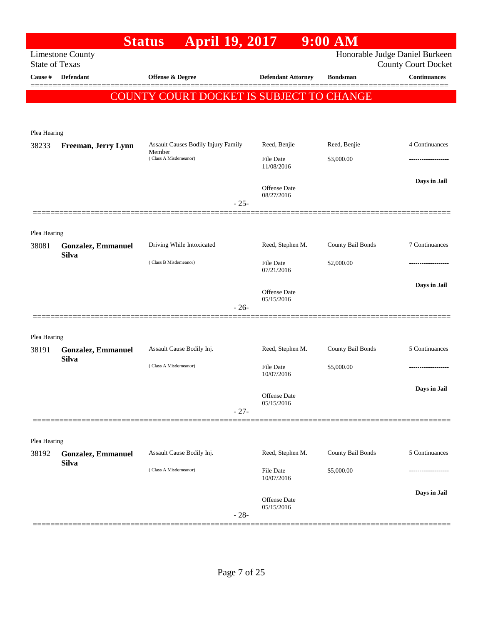|                       |                                           | <b>Status</b>                                 | <b>April 19, 2017</b>          |                                   | $9:00$ AM         |                                                              |
|-----------------------|-------------------------------------------|-----------------------------------------------|--------------------------------|-----------------------------------|-------------------|--------------------------------------------------------------|
| <b>State of Texas</b> | <b>Limestone County</b>                   |                                               |                                |                                   |                   | Honorable Judge Daniel Burkeen<br><b>County Court Docket</b> |
| Cause #               | <b>Defendant</b>                          | Offense & Degree                              |                                | <b>Defendant Attorney</b>         | <b>Bondsman</b>   | <b>Continuances</b>                                          |
|                       |                                           | COUNTY COURT DOCKET IS SUBJECT TO CHANGE      |                                |                                   |                   |                                                              |
|                       |                                           |                                               |                                |                                   |                   |                                                              |
|                       |                                           |                                               |                                |                                   |                   |                                                              |
| Plea Hearing          |                                           |                                               |                                |                                   |                   |                                                              |
| 38233                 | Freeman, Jerry Lynn                       | Assault Causes Bodily Injury Family<br>Member |                                | Reed, Benjie                      | Reed, Benjie      | 4 Continuances                                               |
|                       | (Class A Misdemeanor)                     |                                               | <b>File Date</b><br>11/08/2016 | \$3,000.00                        |                   |                                                              |
|                       |                                           |                                               |                                |                                   |                   | Days in Jail                                                 |
|                       |                                           |                                               |                                | <b>Offense</b> Date<br>08/27/2016 |                   |                                                              |
|                       |                                           |                                               | $-25-$                         |                                   |                   |                                                              |
|                       |                                           |                                               |                                |                                   |                   |                                                              |
| Plea Hearing          |                                           | Driving While Intoxicated                     |                                |                                   |                   | 7 Continuances                                               |
| 38081                 | <b>Gonzalez, Emmanuel</b><br><b>Silva</b> |                                               |                                | Reed, Stephen M.                  | County Bail Bonds |                                                              |
|                       |                                           | (Class B Misdemeanor)                         |                                | <b>File Date</b><br>07/21/2016    | \$2,000.00        |                                                              |
|                       |                                           |                                               |                                |                                   |                   | Days in Jail                                                 |
|                       |                                           |                                               |                                | Offense Date<br>05/15/2016        |                   |                                                              |
|                       |                                           |                                               | $-26-$                         |                                   |                   |                                                              |
|                       |                                           |                                               |                                |                                   |                   |                                                              |
| Plea Hearing          |                                           |                                               |                                |                                   |                   |                                                              |
| 38191                 | <b>Gonzalez, Emmanuel</b><br><b>Silva</b> | Assault Cause Bodily Inj.                     |                                | Reed, Stephen M.                  | County Bail Bonds | 5 Continuances                                               |
|                       |                                           | (Class A Misdemeanor)                         |                                | File Date                         | \$5,000.00        |                                                              |
|                       |                                           |                                               |                                | 10/07/2016                        |                   |                                                              |
|                       |                                           |                                               |                                | Offense Date                      |                   | Days in Jail                                                 |
|                       |                                           |                                               | $-27-$                         | 05/15/2016                        |                   |                                                              |
|                       |                                           |                                               |                                |                                   |                   |                                                              |
| Plea Hearing          |                                           |                                               |                                |                                   |                   |                                                              |
| 38192                 | <b>Gonzalez, Emmanuel</b>                 | Assault Cause Bodily Inj.                     |                                | Reed, Stephen M.                  | County Bail Bonds | 5 Continuances                                               |
|                       | <b>Silva</b>                              | (Class A Misdemeanor)                         |                                | File Date                         | \$5,000.00        |                                                              |
|                       |                                           |                                               |                                | 10/07/2016                        |                   |                                                              |
|                       |                                           |                                               |                                | Offense Date                      |                   | Days in Jail                                                 |
|                       |                                           |                                               | $-28-$                         | 05/15/2016                        |                   |                                                              |
|                       |                                           |                                               |                                |                                   |                   |                                                              |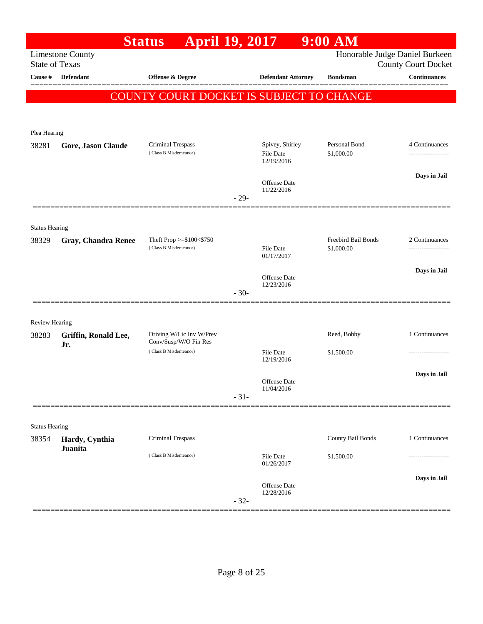|                                         |                            | April 19, 2017<br><b>Status</b>                 |        |                                | $9:00$ AM           |                                                   |
|-----------------------------------------|----------------------------|-------------------------------------------------|--------|--------------------------------|---------------------|---------------------------------------------------|
|                                         | <b>Limestone County</b>    |                                                 |        |                                |                     | Honorable Judge Daniel Burkeen                    |
| <b>State of Texas</b><br><b>Cause</b> # | Defendant                  | <b>Offense &amp; Degree</b>                     |        | <b>Defendant Attorney</b>      | <b>Bondsman</b>     | <b>County Court Docket</b><br><b>Continuances</b> |
|                                         |                            |                                                 |        |                                |                     |                                                   |
|                                         |                            | <b>COUNTY COURT DOCKET IS SUBJECT TO CHANGE</b> |        |                                |                     |                                                   |
|                                         |                            |                                                 |        |                                |                     |                                                   |
| Plea Hearing                            |                            |                                                 |        |                                |                     |                                                   |
| 38281                                   | Gore, Jason Claude         | Criminal Trespass                               |        | Spivey, Shirley                | Personal Bond       | 4 Continuances                                    |
|                                         |                            | (Class B Misdemeanor)                           |        | File Date                      | \$1,000.00          | -------------------                               |
|                                         |                            |                                                 |        | 12/19/2016                     |                     |                                                   |
|                                         |                            |                                                 |        | Offense Date                   |                     | Days in Jail                                      |
|                                         |                            |                                                 | $-29-$ | 11/22/2016                     |                     |                                                   |
|                                         |                            |                                                 |        |                                |                     |                                                   |
| <b>Status Hearing</b>                   |                            |                                                 |        |                                |                     |                                                   |
| 38329                                   | <b>Gray, Chandra Renee</b> | Theft Prop >=\$100<\$750                        |        |                                | Freebird Bail Bonds | 2 Continuances                                    |
|                                         |                            | (Class B Misdemeanor)                           |        | <b>File Date</b><br>01/17/2017 | \$1,000.00          |                                                   |
|                                         |                            |                                                 |        |                                |                     |                                                   |
|                                         |                            |                                                 |        | Offense Date                   |                     | Days in Jail                                      |
|                                         |                            |                                                 | $-30-$ | 12/23/2016                     |                     |                                                   |
|                                         |                            |                                                 |        |                                |                     |                                                   |
| Review Hearing                          |                            |                                                 |        |                                |                     |                                                   |
| 38283                                   | Griffin, Ronald Lee,       | Driving W/Lic Inv W/Prev                        |        |                                | Reed, Bobby         | 1 Continuances                                    |
|                                         | Jr.                        | Conv/Susp/W/O Fin Res<br>(Class B Misdemeanor)  |        | File Date                      | \$1,500.00          |                                                   |
|                                         |                            |                                                 |        | 12/19/2016                     |                     |                                                   |
|                                         |                            |                                                 |        |                                |                     | Days in Jail                                      |
|                                         |                            |                                                 |        | Offense Date<br>11/04/2016     |                     |                                                   |
|                                         |                            |                                                 | $-31-$ |                                |                     |                                                   |
|                                         |                            |                                                 |        |                                |                     |                                                   |
| <b>Status Hearing</b>                   |                            |                                                 |        |                                |                     |                                                   |
| 38354                                   | Hardy, Cynthia<br>Juanita  | Criminal Trespass                               |        |                                | County Bail Bonds   | 1 Continuances                                    |
|                                         |                            | (Class B Misdemeanor)                           |        | File Date<br>01/26/2017        | \$1,500.00          |                                                   |
|                                         |                            |                                                 |        |                                |                     |                                                   |
|                                         |                            |                                                 |        | Offense Date                   |                     | Days in Jail                                      |
|                                         |                            |                                                 | $-32-$ | 12/28/2016                     |                     |                                                   |
|                                         |                            |                                                 |        |                                |                     |                                                   |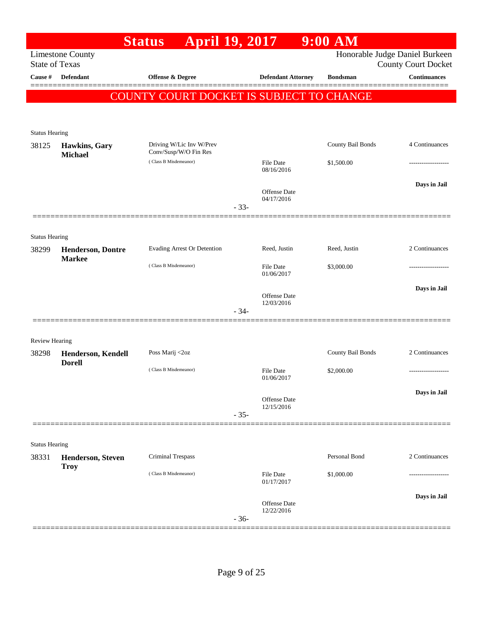|                                |                          | <b>April 19, 2017</b><br><b>Status</b>            |        |                                   | $9:00$ AM         |                                                              |
|--------------------------------|--------------------------|---------------------------------------------------|--------|-----------------------------------|-------------------|--------------------------------------------------------------|
| <b>State of Texas</b>          | <b>Limestone County</b>  |                                                   |        |                                   |                   | Honorable Judge Daniel Burkeen<br><b>County Court Docket</b> |
| Cause #                        | <b>Defendant</b>         | <b>Offense &amp; Degree</b>                       |        | <b>Defendant Attorney</b>         | <b>Bondsman</b>   | <b>Continuances</b>                                          |
|                                |                          | COUNTY COURT DOCKET IS SUBJECT TO CHANGE          |        |                                   |                   |                                                              |
|                                |                          |                                                   |        |                                   |                   |                                                              |
| <b>Status Hearing</b>          |                          |                                                   |        |                                   |                   |                                                              |
| 38125                          | Hawkins, Gary            | Driving W/Lic Inv W/Prev<br>Conv/Susp/W/O Fin Res |        |                                   | County Bail Bonds | 4 Continuances                                               |
|                                | <b>Michael</b>           | (Class B Misdemeanor)                             |        | File Date<br>08/16/2016           | \$1,500.00        |                                                              |
|                                |                          |                                                   |        |                                   |                   | Days in Jail                                                 |
|                                |                          |                                                   |        | <b>Offense Date</b><br>04/17/2016 |                   |                                                              |
|                                |                          |                                                   | $-33-$ |                                   |                   |                                                              |
| <b>Status Hearing</b>          |                          |                                                   |        |                                   |                   |                                                              |
| 38299                          | <b>Henderson, Dontre</b> | Evading Arrest Or Detention                       |        | Reed, Justin                      | Reed, Justin      | 2 Continuances                                               |
|                                | <b>Markee</b>            | (Class B Misdemeanor)                             |        | <b>File Date</b>                  | \$3,000.00        |                                                              |
|                                |                          |                                                   |        | 01/06/2017                        |                   | Days in Jail                                                 |
|                                |                          |                                                   |        | <b>Offense Date</b><br>12/03/2016 |                   |                                                              |
|                                |                          |                                                   | $-34-$ |                                   |                   |                                                              |
| <b>Review Hearing</b>          |                          |                                                   |        |                                   |                   |                                                              |
| 38298                          | Henderson, Kendell       | Poss Marij <2oz                                   |        |                                   | County Bail Bonds | 2 Continuances                                               |
|                                | <b>Dorell</b>            | (Class B Misdemeanor)                             |        | File Date                         | \$2,000.00        | ------------------                                           |
|                                |                          |                                                   |        | 01/06/2017                        |                   | Days in Jail                                                 |
|                                |                          |                                                   |        | <b>Offense Date</b><br>12/15/2016 |                   |                                                              |
|                                |                          |                                                   | $-35-$ |                                   |                   |                                                              |
|                                |                          |                                                   |        |                                   |                   |                                                              |
| <b>Status Hearing</b><br>38331 | <b>Henderson, Steven</b> | <b>Criminal Trespass</b>                          |        |                                   | Personal Bond     | 2 Continuances                                               |
|                                | <b>Troy</b>              | (Class B Misdemeanor)                             |        | <b>File Date</b>                  | \$1,000.00        |                                                              |
|                                |                          |                                                   |        | 01/17/2017                        |                   |                                                              |
|                                |                          |                                                   |        | <b>Offense</b> Date<br>12/22/2016 |                   | Days in Jail                                                 |
|                                |                          |                                                   | $-36-$ |                                   |                   |                                                              |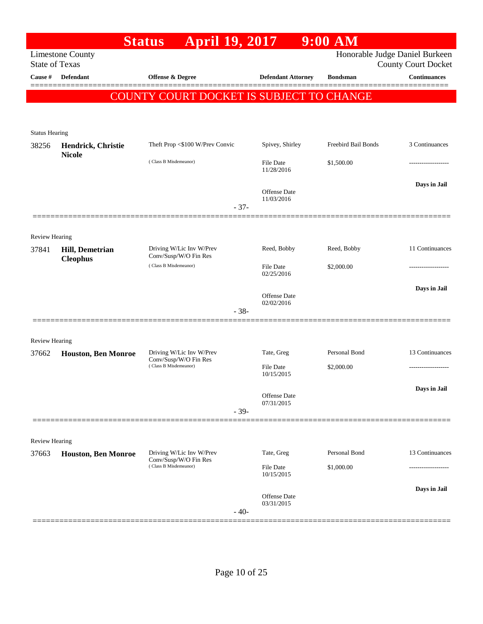|                       |                                    | <b>April 19, 2017</b><br><b>Status</b>            |        |                                | $9:00$ AM           |                                                   |
|-----------------------|------------------------------------|---------------------------------------------------|--------|--------------------------------|---------------------|---------------------------------------------------|
| <b>State of Texas</b> | <b>Limestone County</b>            |                                                   |        |                                |                     | Honorable Judge Daniel Burkeen                    |
| Cause #               | <b>Defendant</b>                   | Offense & Degree                                  |        | <b>Defendant Attorney</b>      | <b>Bondsman</b>     | <b>County Court Docket</b><br><b>Continuances</b> |
|                       |                                    |                                                   |        |                                |                     |                                                   |
|                       |                                    | <b>COUNTY COURT DOCKET IS SUBJECT TO CHANGE</b>   |        |                                |                     |                                                   |
|                       |                                    |                                                   |        |                                |                     |                                                   |
| <b>Status Hearing</b> |                                    |                                                   |        |                                |                     |                                                   |
| 38256                 | Hendrick, Christie                 | Theft Prop <\$100 W/Prev Convic                   |        | Spivey, Shirley                | Freebird Bail Bonds | 3 Continuances                                    |
|                       | <b>Nicole</b>                      | (Class B Misdemeanor)                             |        | File Date<br>11/28/2016        | \$1,500.00          |                                                   |
|                       |                                    |                                                   |        | <b>Offense</b> Date            |                     | Days in Jail                                      |
|                       |                                    |                                                   | $-37-$ | 11/03/2016                     |                     |                                                   |
|                       |                                    |                                                   |        |                                |                     |                                                   |
| <b>Review Hearing</b> |                                    |                                                   |        |                                |                     |                                                   |
| 37841                 | Hill, Demetrian<br><b>Cleophus</b> | Driving W/Lic Inv W/Prev<br>Conv/Susp/W/O Fin Res |        | Reed, Bobby                    | Reed, Bobby         | 11 Continuances                                   |
|                       |                                    | (Class B Misdemeanor)                             |        | <b>File Date</b><br>02/25/2016 | \$2,000.00          |                                                   |
|                       |                                    |                                                   |        | <b>Offense</b> Date            |                     | Days in Jail                                      |
|                       |                                    |                                                   | $-38-$ | 02/02/2016                     |                     |                                                   |
|                       |                                    |                                                   |        |                                |                     |                                                   |
| <b>Review Hearing</b> |                                    |                                                   |        |                                |                     |                                                   |
| 37662                 | <b>Houston, Ben Monroe</b>         | Driving W/Lic Inv W/Prev                          |        | Tate, Greg                     | Personal Bond       | 13 Continuances                                   |
|                       |                                    | Conv/Susp/W/O Fin Res<br>(Class B Misdemeanor)    |        | File Date                      | \$2,000.00          |                                                   |
|                       |                                    |                                                   |        | 10/15/2015                     |                     |                                                   |
|                       |                                    |                                                   |        | Offense Date                   |                     | Days in Jail                                      |
|                       |                                    |                                                   | $-39-$ | 07/31/2015                     |                     |                                                   |
|                       |                                    |                                                   |        |                                |                     |                                                   |
| Review Hearing        |                                    |                                                   |        |                                |                     |                                                   |
| 37663                 | <b>Houston, Ben Monroe</b>         | Driving W/Lic Inv W/Prev<br>Conv/Susp/W/O Fin Res |        | Tate, Greg                     | Personal Bond       | 13 Continuances                                   |
|                       |                                    | (Class B Misdemeanor)                             |        | <b>File Date</b><br>10/15/2015 | \$1,000.00          |                                                   |
|                       |                                    |                                                   |        | Offense Date                   |                     | Days in Jail                                      |
|                       |                                    |                                                   | $-40-$ | 03/31/2015                     |                     |                                                   |
|                       |                                    |                                                   |        |                                |                     |                                                   |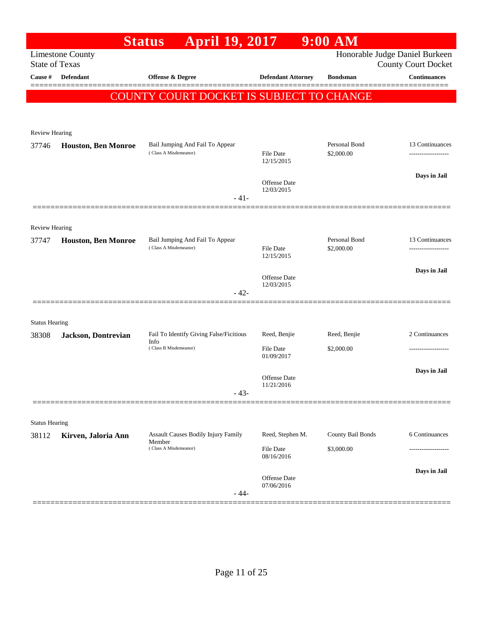|                                |                            | April 19, 2017<br><b>Status</b>                      |                                   | $9:00$ AM         |                                                   |
|--------------------------------|----------------------------|------------------------------------------------------|-----------------------------------|-------------------|---------------------------------------------------|
| <b>State of Texas</b>          | <b>Limestone County</b>    |                                                      |                                   |                   | Honorable Judge Daniel Burkeen                    |
| <b>Cause</b> #                 | <b>Defendant</b>           | <b>Offense &amp; Degree</b>                          | <b>Defendant Attorney</b>         | <b>Bondsman</b>   | <b>County Court Docket</b><br><b>Continuances</b> |
|                                |                            |                                                      |                                   |                   |                                                   |
|                                |                            | <b>COUNTY COURT DOCKET IS SUBJECT TO CHANGE</b>      |                                   |                   |                                                   |
|                                |                            |                                                      |                                   |                   |                                                   |
| Review Hearing                 |                            |                                                      |                                   |                   |                                                   |
| 37746                          | <b>Houston, Ben Monroe</b> | Bail Jumping And Fail To Appear                      |                                   | Personal Bond     | 13 Continuances                                   |
|                                |                            | (Class A Misdemeanor)                                | <b>File Date</b><br>12/15/2015    | \$2,000.00        | -----------------                                 |
|                                |                            |                                                      |                                   |                   | Days in Jail                                      |
|                                |                            |                                                      | <b>Offense Date</b><br>12/03/2015 |                   |                                                   |
|                                |                            | $-41-$                                               |                                   |                   |                                                   |
|                                |                            |                                                      |                                   |                   |                                                   |
| <b>Review Hearing</b><br>37747 | <b>Houston, Ben Monroe</b> | Bail Jumping And Fail To Appear                      |                                   | Personal Bond     | 13 Continuances                                   |
|                                |                            | (Class A Misdemeanor)                                | <b>File Date</b>                  | \$2,000.00        |                                                   |
|                                |                            |                                                      | 12/15/2015                        |                   |                                                   |
|                                |                            |                                                      | <b>Offense Date</b>               |                   | Days in Jail                                      |
|                                |                            | $-42-$                                               | 12/03/2015                        |                   |                                                   |
|                                |                            |                                                      |                                   |                   |                                                   |
| <b>Status Hearing</b>          |                            |                                                      |                                   |                   |                                                   |
| 38308                          | Jackson, Dontrevian        | Fail To Identify Giving False/Ficitious<br>Info      | Reed, Benjie                      | Reed, Benjie      | 2 Continuances                                    |
|                                |                            | (Class B Misdemeanor)                                | <b>File Date</b><br>01/09/2017    | \$2,000.00        | ----------------                                  |
|                                |                            |                                                      |                                   |                   | Days in Jail                                      |
|                                |                            |                                                      | Offense Date<br>11/21/2016        |                   |                                                   |
|                                |                            | $-43-$                                               |                                   |                   |                                                   |
|                                |                            |                                                      |                                   |                   |                                                   |
| <b>Status Hearing</b>          |                            |                                                      |                                   |                   |                                                   |
| 38112                          | Kirven, Jaloria Ann        | <b>Assault Causes Bodily Injury Family</b><br>Member | Reed, Stephen M.                  | County Bail Bonds | 6 Continuances                                    |
|                                |                            | (Class A Misdemeanor)                                | <b>File Date</b><br>08/16/2016    | \$3,000.00        |                                                   |
|                                |                            |                                                      |                                   |                   | Days in Jail                                      |
|                                |                            |                                                      | Offense Date<br>07/06/2016        |                   |                                                   |
|                                |                            | - 44-                                                |                                   |                   |                                                   |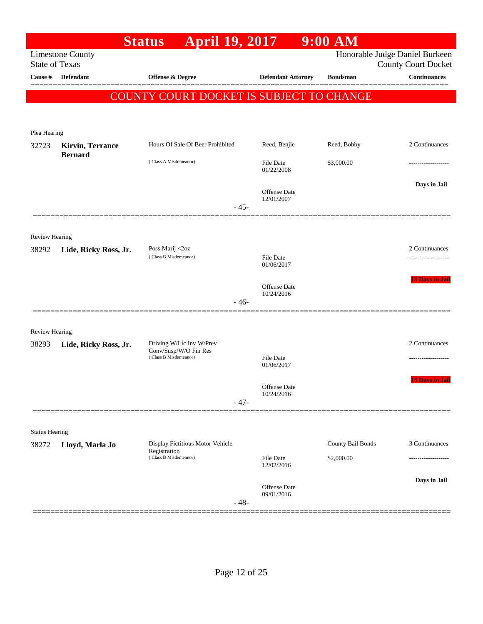|                       |                         | April 19, 2017<br><b>Status</b>                   |                                | $9:00$ AM         |                                                              |
|-----------------------|-------------------------|---------------------------------------------------|--------------------------------|-------------------|--------------------------------------------------------------|
| <b>State of Texas</b> | <b>Limestone County</b> |                                                   |                                |                   | Honorable Judge Daniel Burkeen<br><b>County Court Docket</b> |
| Cause #               | <b>Defendant</b>        | Offense & Degree                                  | <b>Defendant Attorney</b>      | <b>Bondsman</b>   | <b>Continuances</b>                                          |
|                       |                         | COUNTY COURT DOCKET IS SUBJECT TO CHANGE          |                                |                   |                                                              |
|                       |                         |                                                   |                                |                   |                                                              |
|                       |                         |                                                   |                                |                   |                                                              |
| Plea Hearing<br>32723 | <b>Kirvin, Terrance</b> | Hours Of Sale Of Beer Prohibited                  | Reed, Benjie                   | Reed, Bobby       | 2 Continuances                                               |
|                       | <b>Bernard</b>          | (Class A Misdemeanor)                             | <b>File Date</b><br>01/22/2008 | \$3,000.00        |                                                              |
|                       |                         |                                                   |                                |                   | Days in Jail                                                 |
|                       |                         | $-45-$                                            | Offense Date<br>12/01/2007     |                   |                                                              |
|                       |                         |                                                   |                                |                   |                                                              |
| <b>Review Hearing</b> |                         |                                                   |                                |                   |                                                              |
| 38292                 | Lide, Ricky Ross, Jr.   | Poss Marij <2oz                                   |                                |                   | 2 Continuances                                               |
|                       |                         | (Class B Misdemeanor)                             | File Date<br>01/06/2017        |                   | -----------------                                            |
|                       |                         |                                                   | <b>Offense</b> Date            |                   | <b>13 Days in Jail</b>                                       |
|                       |                         | $-46-$                                            | 10/24/2016                     |                   |                                                              |
|                       |                         |                                                   |                                |                   |                                                              |
| Review Hearing        |                         |                                                   |                                |                   |                                                              |
| 38293                 | Lide, Ricky Ross, Jr.   | Driving W/Lic Inv W/Prev<br>Conv/Susp/W/O Fin Res |                                |                   | 2 Continuances                                               |
|                       |                         | (Class B Misdemeanor)                             | File Date<br>01/06/2017        |                   | .                                                            |
|                       |                         |                                                   | Offense Date                   |                   | <b>13 Days in Jail</b>                                       |
|                       |                         | $-47-$                                            | 10/24/2016                     |                   |                                                              |
|                       |                         |                                                   |                                |                   |                                                              |
| <b>Status Hearing</b> |                         |                                                   |                                |                   |                                                              |
| 38272                 | Lloyd, Marla Jo         | Display Fictitious Motor Vehicle<br>Registration  |                                | County Bail Bonds | 3 Continuances                                               |
|                       |                         | (Class B Misdemeanor)                             | File Date<br>12/02/2016        | \$2,000.00        |                                                              |
|                       |                         |                                                   | Offense Date                   |                   | Days in Jail                                                 |
|                       |                         | $-48-$                                            | 09/01/2016                     |                   |                                                              |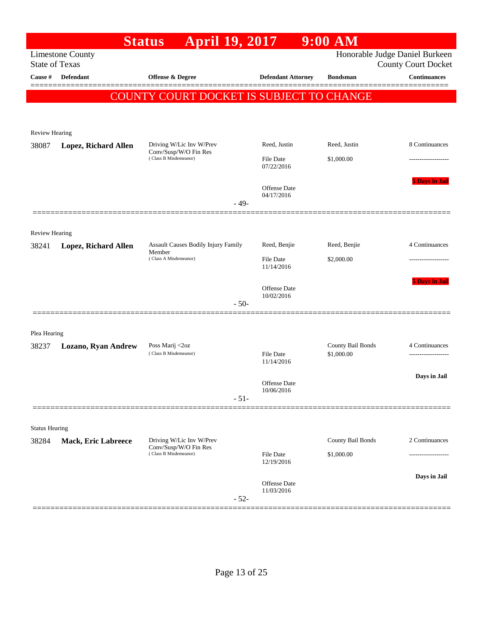|                       |                            | <b>Status</b><br><b>April 19, 2017</b>                                     |                                |                                   | $9:00$ AM         |                                                              |
|-----------------------|----------------------------|----------------------------------------------------------------------------|--------------------------------|-----------------------------------|-------------------|--------------------------------------------------------------|
| <b>State of Texas</b> | <b>Limestone County</b>    |                                                                            |                                |                                   |                   | Honorable Judge Daniel Burkeen<br><b>County Court Docket</b> |
| Cause #               | <b>Defendant</b>           | Offense & Degree                                                           |                                | <b>Defendant Attorney</b>         | <b>Bondsman</b>   | <b>Continuances</b>                                          |
|                       |                            | COUNTY COURT DOCKET IS SUBJECT TO CHANGE                                   |                                |                                   |                   |                                                              |
|                       |                            |                                                                            |                                |                                   |                   |                                                              |
|                       |                            |                                                                            |                                |                                   |                   |                                                              |
| Review Hearing        |                            |                                                                            |                                |                                   |                   |                                                              |
| 38087                 | Lopez, Richard Allen       | Driving W/Lic Inv W/Prev<br>Conv/Susp/W/O Fin Res<br>(Class B Misdemeanor) |                                | Reed, Justin                      | Reed, Justin      | 8 Continuances                                               |
|                       |                            |                                                                            |                                | <b>File Date</b><br>07/22/2016    | \$1,000.00        |                                                              |
|                       |                            |                                                                            |                                | <b>Offense</b> Date               |                   | <b>5 Days in Jail</b>                                        |
|                       |                            |                                                                            | $-49-$                         | 04/17/2016                        |                   |                                                              |
|                       |                            |                                                                            |                                |                                   |                   |                                                              |
| <b>Review Hearing</b> |                            |                                                                            |                                |                                   |                   |                                                              |
| 38241                 | Lopez, Richard Allen       | Assault Causes Bodily Injury Family<br>Member                              |                                | Reed, Benjie                      | Reed, Benjie      | 4 Continuances                                               |
|                       |                            | (Class A Misdemeanor)                                                      | <b>File Date</b><br>11/14/2016 | \$2,000.00                        |                   |                                                              |
|                       |                            |                                                                            |                                |                                   |                   | <b>5 Days in Jail</b>                                        |
|                       |                            |                                                                            |                                | <b>Offense Date</b><br>10/02/2016 |                   |                                                              |
|                       |                            |                                                                            | $-50-$                         |                                   |                   |                                                              |
|                       |                            |                                                                            |                                |                                   |                   |                                                              |
| Plea Hearing<br>38237 |                            | Poss Marij <2oz                                                            |                                |                                   | County Bail Bonds | 4 Continuances                                               |
|                       | <b>Lozano, Ryan Andrew</b> | (Class B Misdemeanor)                                                      |                                | <b>File Date</b><br>11/14/2016    | \$1,000.00        | .                                                            |
|                       |                            |                                                                            |                                |                                   |                   | Days in Jail                                                 |
|                       |                            |                                                                            |                                | Offense Date<br>10/06/2016        |                   |                                                              |
|                       |                            |                                                                            | $-51-$                         |                                   |                   |                                                              |
|                       |                            |                                                                            |                                |                                   |                   |                                                              |
| <b>Status Hearing</b> |                            | Driving W/Lic Inv W/Prev                                                   |                                |                                   | County Bail Bonds | 2 Continuances                                               |
| 38284                 | <b>Mack, Eric Labreece</b> | Conv/Susp/W/O Fin Res<br>(Class B Misdemeanor)                             |                                | <b>File Date</b>                  | \$1,000.00        |                                                              |
|                       |                            |                                                                            |                                | 12/19/2016                        |                   |                                                              |
|                       |                            |                                                                            |                                | Offense Date                      |                   | Days in Jail                                                 |
|                       |                            |                                                                            | $-52-$                         | 11/03/2016                        |                   |                                                              |
|                       |                            |                                                                            |                                |                                   |                   |                                                              |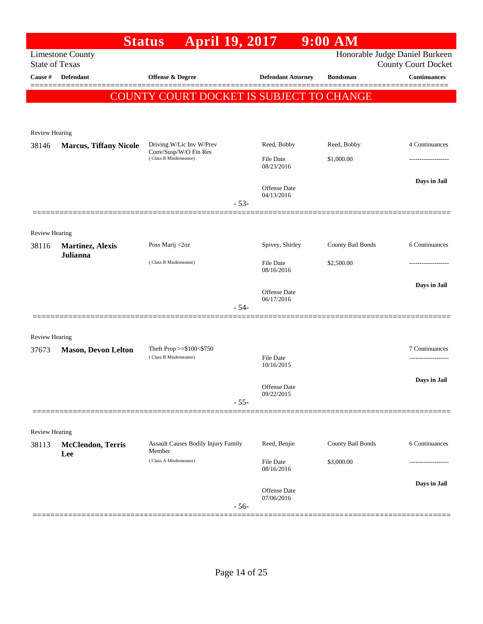|                         |                                            | <b>April 19, 2017</b><br><b>Status</b>                   |        |                                   | $9:00$ AM         |                                                              |
|-------------------------|--------------------------------------------|----------------------------------------------------------|--------|-----------------------------------|-------------------|--------------------------------------------------------------|
| <b>State of Texas</b>   | <b>Limestone County</b>                    |                                                          |        |                                   |                   | Honorable Judge Daniel Burkeen<br><b>County Court Docket</b> |
| Cause #                 | <b>Defendant</b>                           | <b>Offense &amp; Degree</b>                              |        | <b>Defendant Attorney</b>         | <b>Bondsman</b>   | <b>Continuances</b>                                          |
|                         |                                            | COUNTY COURT DOCKET IS SUBJECT TO CHANGE                 |        |                                   |                   |                                                              |
|                         |                                            |                                                          |        |                                   |                   |                                                              |
|                         |                                            |                                                          |        |                                   |                   |                                                              |
| <b>Review Hearing</b>   |                                            |                                                          |        |                                   |                   |                                                              |
| 38146                   | <b>Marcus, Tiffany Nicole</b>              | Driving W/Lic Inv W/Prev<br>Conv/Susp/W/O Fin Res        |        | Reed, Bobby                       | Reed, Bobby       | 4 Continuances                                               |
|                         |                                            | (Class B Misdemeanor)                                    |        | <b>File Date</b><br>08/23/2016    | \$1,000.00        | .                                                            |
|                         |                                            |                                                          |        |                                   |                   | Days in Jail                                                 |
|                         |                                            |                                                          |        | <b>Offense Date</b><br>04/13/2016 |                   |                                                              |
|                         |                                            |                                                          | $-53-$ |                                   |                   |                                                              |
|                         |                                            |                                                          |        |                                   |                   |                                                              |
| Review Hearing<br>38116 |                                            | Poss Marij <2oz                                          |        | Spivey, Shirley                   | County Bail Bonds | 6 Continuances                                               |
|                         | <b>Martinez, Alexis</b><br><b>Julianna</b> |                                                          |        |                                   |                   |                                                              |
|                         |                                            | (Class B Misdemeanor)                                    |        | <b>File Date</b><br>08/16/2016    | \$2,500.00        | .                                                            |
|                         |                                            |                                                          |        |                                   |                   | Days in Jail                                                 |
|                         |                                            |                                                          |        | <b>Offense Date</b><br>06/17/2016 |                   |                                                              |
|                         |                                            |                                                          | $-54-$ |                                   |                   |                                                              |
|                         |                                            |                                                          |        |                                   |                   |                                                              |
| Review Hearing          |                                            |                                                          |        |                                   |                   |                                                              |
| 37673                   | <b>Mason, Devon Lelton</b>                 | Theft Prop $>=$ \$100 $<$ \$750<br>(Class B Misdemeanor) |        | <b>File Date</b>                  |                   | 7 Continuances<br>.                                          |
|                         |                                            |                                                          |        | 10/16/2015                        |                   |                                                              |
|                         |                                            |                                                          |        | Offense Date                      |                   | Days in Jail                                                 |
|                         |                                            |                                                          | $-55-$ | 09/22/2015                        |                   |                                                              |
|                         |                                            |                                                          |        |                                   |                   |                                                              |
| Review Hearing          |                                            |                                                          |        |                                   |                   |                                                              |
| 38113                   | <b>McClendon, Terris</b>                   | <b>Assault Causes Bodily Injury Family</b>               |        | Reed, Benjie                      | County Bail Bonds | 6 Continuances                                               |
|                         | Lee                                        | Member<br>(Class A Misdemeanor)                          |        | File Date                         | \$3,000.00        |                                                              |
|                         |                                            |                                                          |        | 08/16/2016                        |                   |                                                              |
|                         |                                            |                                                          |        | Offense Date                      |                   | Days in Jail                                                 |
|                         |                                            |                                                          | $-56-$ | 07/06/2016                        |                   |                                                              |
|                         |                                            |                                                          |        |                                   |                   |                                                              |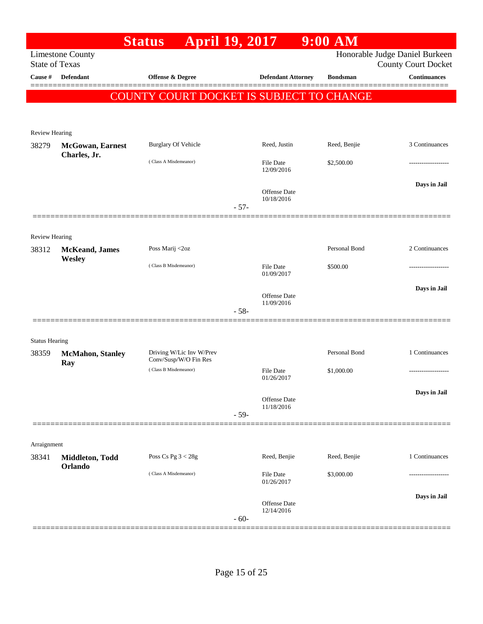|                                |                                 | <b>Status</b>                                   | <b>April 19, 2017</b>          | $9:00$ AM       |                                |
|--------------------------------|---------------------------------|-------------------------------------------------|--------------------------------|-----------------|--------------------------------|
|                                | <b>Limestone County</b>         |                                                 |                                |                 | Honorable Judge Daniel Burkeen |
| <b>State of Texas</b>          |                                 |                                                 |                                |                 | <b>County Court Docket</b>     |
| Cause #                        | <b>Defendant</b>                | Offense & Degree                                | <b>Defendant Attorney</b>      | <b>Bondsman</b> | <b>Continuances</b>            |
|                                |                                 | <b>COUNTY COURT DOCKET IS SUBJECT TO CHANGE</b> |                                |                 |                                |
|                                |                                 |                                                 |                                |                 |                                |
|                                |                                 |                                                 |                                |                 |                                |
| Review Hearing                 | <b>McGowan</b> , Earnest        | <b>Burglary Of Vehicle</b>                      | Reed, Justin                   | Reed, Benjie    | 3 Continuances                 |
| 38279                          | Charles, Jr.                    |                                                 |                                |                 |                                |
|                                |                                 | (Class A Misdemeanor)                           | <b>File Date</b><br>12/09/2016 | \$2,500.00      |                                |
|                                |                                 |                                                 |                                |                 | Days in Jail                   |
|                                |                                 |                                                 | Offense Date<br>10/18/2016     |                 |                                |
|                                |                                 |                                                 | $-57-$                         |                 |                                |
|                                |                                 |                                                 |                                |                 |                                |
| Review Hearing                 |                                 |                                                 |                                |                 |                                |
| 38312                          | <b>McKeand</b> , James          | Poss Marij <2oz                                 |                                | Personal Bond   | 2 Continuances                 |
|                                | Wesley                          | (Class B Misdemeanor)                           | File Date                      | \$500.00        |                                |
|                                |                                 |                                                 | 01/09/2017                     |                 |                                |
|                                |                                 |                                                 | Offense Date                   |                 | Days in Jail                   |
|                                |                                 |                                                 | 11/09/2016<br>$-58-$           |                 |                                |
|                                |                                 |                                                 |                                |                 |                                |
|                                |                                 |                                                 |                                |                 |                                |
| <b>Status Hearing</b><br>38359 |                                 | Driving W/Lic Inv W/Prev                        |                                | Personal Bond   | 1 Continuances                 |
|                                | <b>McMahon</b> , Stanley<br>Ray | Conv/Susp/W/O Fin Res                           |                                |                 |                                |
|                                |                                 | (Class B Misdemeanor)                           | <b>File Date</b><br>01/26/2017 | \$1,000.00      | --------------                 |
|                                |                                 |                                                 |                                |                 | Days in Jail                   |
|                                |                                 |                                                 | Offense Date<br>11/18/2016     |                 |                                |
|                                |                                 |                                                 | $-59-$                         |                 |                                |
|                                |                                 |                                                 |                                |                 |                                |
| Arraignment                    |                                 |                                                 |                                |                 |                                |
| 38341                          | Middleton, Todd                 | Poss Cs Pg $3 < 28g$                            | Reed, Benjie                   | Reed, Benjie    | 1 Continuances                 |
|                                | Orlando                         | (Class A Misdemeanor)                           | <b>File Date</b>               | \$3,000.00      |                                |
|                                |                                 |                                                 | 01/26/2017                     |                 |                                |
|                                |                                 |                                                 | Offense Date                   |                 | Days in Jail                   |
|                                |                                 |                                                 | 12/14/2016<br>$-60-$           |                 |                                |
|                                |                                 |                                                 |                                |                 |                                |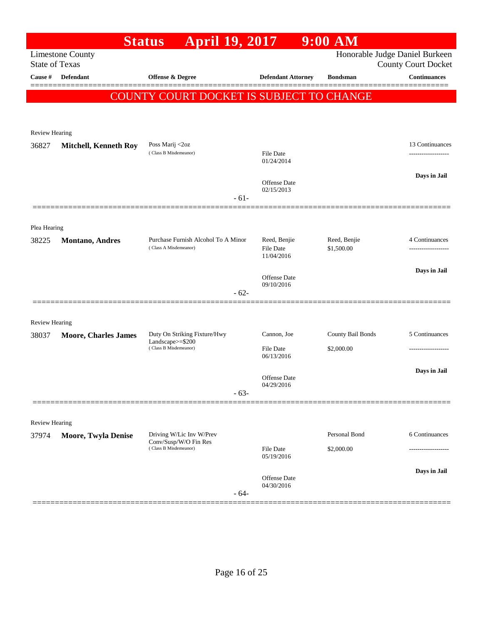|                                  |                              | <b>April 19, 2017</b><br><b>Status</b>                       |        |                                  | $9:00$ AM                  |                                                   |
|----------------------------------|------------------------------|--------------------------------------------------------------|--------|----------------------------------|----------------------------|---------------------------------------------------|
|                                  | <b>Limestone County</b>      |                                                              |        |                                  |                            | Honorable Judge Daniel Burkeen                    |
| <b>State of Texas</b><br>Cause # | <b>Defendant</b>             | <b>Offense &amp; Degree</b>                                  |        | <b>Defendant Attorney</b>        | <b>Bondsman</b>            | <b>County Court Docket</b><br><b>Continuances</b> |
|                                  |                              |                                                              |        |                                  |                            |                                                   |
|                                  |                              | COUNTY COURT DOCKET IS SUBJECT TO CHANGE                     |        |                                  |                            |                                                   |
|                                  |                              |                                                              |        |                                  |                            |                                                   |
| Review Hearing                   |                              |                                                              |        |                                  |                            |                                                   |
| 36827                            | <b>Mitchell, Kenneth Roy</b> | Poss Marij <2oz                                              |        |                                  |                            | 13 Continuances                                   |
|                                  |                              | (Class B Misdemeanor)                                        |        | File Date<br>01/24/2014          |                            |                                                   |
|                                  |                              |                                                              |        |                                  |                            | Days in Jail                                      |
|                                  |                              |                                                              |        | Offense Date<br>02/15/2013       |                            |                                                   |
|                                  |                              |                                                              | $-61-$ |                                  |                            |                                                   |
|                                  |                              |                                                              |        |                                  |                            |                                                   |
| Plea Hearing                     |                              |                                                              |        |                                  |                            |                                                   |
| 38225                            | <b>Montano, Andres</b>       | Purchase Furnish Alcohol To A Minor<br>(Class A Misdemeanor) |        | Reed, Benjie<br><b>File Date</b> | Reed, Benjie<br>\$1,500.00 | 4 Continuances<br>-----------------               |
|                                  |                              |                                                              |        | 11/04/2016                       |                            |                                                   |
|                                  |                              |                                                              |        | Offense Date                     |                            | Days in Jail                                      |
|                                  |                              |                                                              | $-62-$ | 09/10/2016                       |                            |                                                   |
|                                  |                              |                                                              |        |                                  |                            |                                                   |
| <b>Review Hearing</b>            |                              |                                                              |        |                                  |                            |                                                   |
| 38037                            | <b>Moore, Charles James</b>  | Duty On Striking Fixture/Hwy<br>Landscape>=\$200             |        | Cannon, Joe                      | County Bail Bonds          | 5 Continuances                                    |
|                                  |                              | (Class B Misdemeanor)                                        |        | <b>File Date</b><br>06/13/2016   | \$2,000.00                 |                                                   |
|                                  |                              |                                                              |        |                                  |                            | Days in Jail                                      |
|                                  |                              |                                                              |        | Offense Date<br>04/29/2016       |                            |                                                   |
|                                  |                              |                                                              | $-63-$ |                                  |                            |                                                   |
|                                  |                              |                                                              |        |                                  |                            |                                                   |
| Review Hearing                   |                              |                                                              |        |                                  |                            |                                                   |
| 37974                            | <b>Moore, Twyla Denise</b>   | Driving W/Lic Inv W/Prev<br>Conv/Susp/W/O Fin Res            |        |                                  | Personal Bond              | 6 Continuances                                    |
|                                  |                              | (Class B Misdemeanor)                                        |        | <b>File Date</b><br>05/19/2016   | \$2,000.00                 |                                                   |
|                                  |                              |                                                              |        |                                  |                            | Days in Jail                                      |
|                                  |                              |                                                              |        | Offense Date<br>04/30/2016       |                            |                                                   |
|                                  |                              |                                                              | $-64-$ |                                  |                            |                                                   |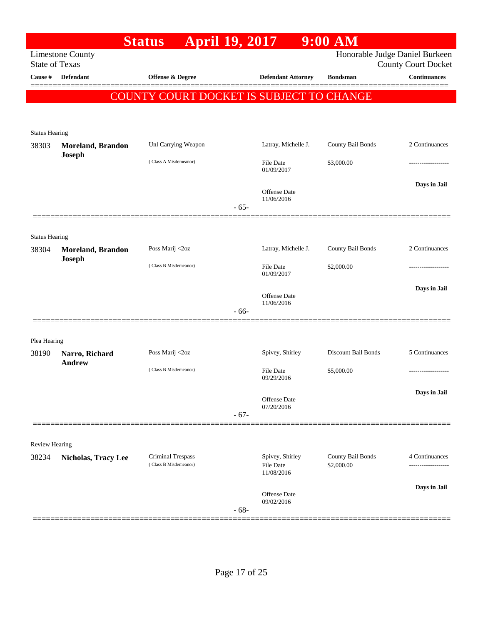|                         |                                    | <b>April 19, 2017</b><br><b>Status</b>   |        |                                | $9:00$ AM           |                                |
|-------------------------|------------------------------------|------------------------------------------|--------|--------------------------------|---------------------|--------------------------------|
|                         | <b>Limestone County</b>            |                                          |        |                                |                     | Honorable Judge Daniel Burkeen |
| <b>State of Texas</b>   |                                    |                                          |        |                                |                     | <b>County Court Docket</b>     |
| Cause #                 | Defendant                          | Offense & Degree                         |        | <b>Defendant Attorney</b>      | <b>Bondsman</b>     | <b>Continuances</b>            |
|                         |                                    | COUNTY COURT DOCKET IS SUBJECT TO CHANGE |        |                                |                     |                                |
|                         |                                    |                                          |        |                                |                     |                                |
|                         |                                    |                                          |        |                                |                     |                                |
| <b>Status Hearing</b>   |                                    |                                          |        |                                |                     |                                |
| 38303                   | <b>Moreland, Brandon</b><br>Joseph | Unl Carrying Weapon                      |        | Latray, Michelle J.            | County Bail Bonds   | 2 Continuances                 |
|                         |                                    | (Class A Misdemeanor)                    |        | File Date                      | \$3,000.00          |                                |
|                         |                                    |                                          |        | 01/09/2017                     |                     |                                |
|                         |                                    |                                          |        | Offense Date                   |                     | Days in Jail                   |
|                         |                                    |                                          | $-65-$ | 11/06/2016                     |                     |                                |
|                         |                                    |                                          |        |                                |                     |                                |
| <b>Status Hearing</b>   |                                    |                                          |        |                                |                     |                                |
| 38304                   | <b>Moreland, Brandon</b>           | Poss Marij <2oz                          |        | Latray, Michelle J.            | County Bail Bonds   | 2 Continuances                 |
|                         | Joseph                             |                                          |        |                                |                     |                                |
|                         |                                    | (Class B Misdemeanor)                    |        | <b>File Date</b><br>01/09/2017 | \$2,000.00          |                                |
|                         |                                    |                                          |        |                                |                     | Days in Jail                   |
|                         |                                    |                                          |        | Offense Date<br>11/06/2016     |                     |                                |
|                         |                                    |                                          | $-66-$ |                                |                     |                                |
|                         |                                    |                                          |        |                                |                     |                                |
| Plea Hearing            |                                    |                                          |        |                                |                     |                                |
| 38190                   | Narro, Richard                     | Poss Marij <2oz                          |        | Spivey, Shirley                | Discount Bail Bonds | 5 Continuances                 |
|                         | <b>Andrew</b>                      | (Class B Misdemeanor)                    |        | <b>File Date</b>               | \$5,000.00          | .                              |
|                         |                                    |                                          |        | 09/29/2016                     |                     |                                |
|                         |                                    |                                          |        | Offense Date                   |                     | Days in Jail                   |
|                         |                                    |                                          | $-67-$ | 07/20/2016                     |                     |                                |
|                         |                                    |                                          |        |                                |                     |                                |
|                         |                                    |                                          |        |                                |                     |                                |
| Review Hearing<br>38234 |                                    | Criminal Trespass                        |        | Spivey, Shirley                | County Bail Bonds   | 4 Continuances                 |
|                         | <b>Nicholas, Tracy Lee</b>         | (Class B Misdemeanor)                    |        | <b>File Date</b>               | \$2,000.00          |                                |
|                         |                                    |                                          |        | 11/08/2016                     |                     |                                |
|                         |                                    |                                          |        | Offense Date                   |                     | Days in Jail                   |
|                         |                                    |                                          | $-68-$ | 09/02/2016                     |                     |                                |
|                         |                                    |                                          |        |                                |                     |                                |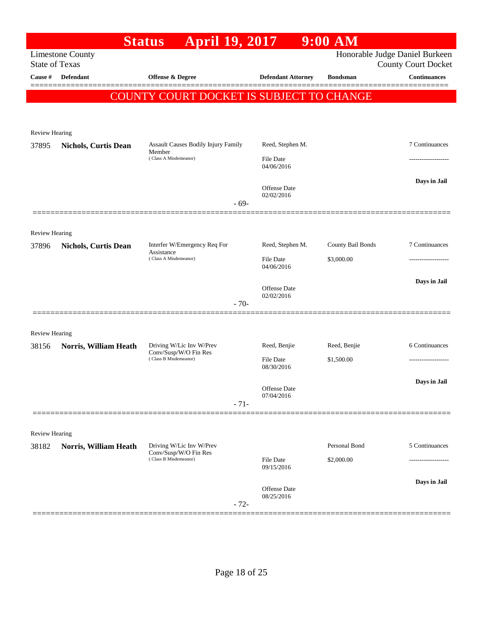|                                |                                                  | <b>April 19, 2017</b><br><b>Status</b>               |                                   | $9:00$ AM         |                                                              |
|--------------------------------|--------------------------------------------------|------------------------------------------------------|-----------------------------------|-------------------|--------------------------------------------------------------|
|                                | <b>Limestone County</b><br><b>State of Texas</b> |                                                      |                                   |                   | Honorable Judge Daniel Burkeen<br><b>County Court Docket</b> |
| Cause #                        | <b>Defendant</b>                                 | Offense & Degree                                     | <b>Defendant Attorney</b>         | <b>Bondsman</b>   | <b>Continuances</b>                                          |
|                                |                                                  | COUNTY COURT DOCKET IS SUBJECT TO CHANGE             |                                   |                   |                                                              |
|                                |                                                  |                                                      |                                   |                   |                                                              |
|                                |                                                  |                                                      |                                   |                   |                                                              |
| Review Hearing                 |                                                  |                                                      |                                   |                   |                                                              |
| 37895                          | <b>Nichols, Curtis Dean</b>                      | <b>Assault Causes Bodily Injury Family</b><br>Member | Reed, Stephen M.                  |                   | 7 Continuances                                               |
|                                |                                                  | (Class A Misdemeanor)                                | <b>File Date</b><br>04/06/2016    |                   |                                                              |
|                                |                                                  |                                                      |                                   |                   | Days in Jail                                                 |
|                                |                                                  |                                                      | <b>Offense</b> Date<br>02/02/2016 |                   |                                                              |
|                                |                                                  | $-69-$                                               |                                   |                   |                                                              |
|                                |                                                  |                                                      |                                   |                   |                                                              |
| <b>Review Hearing</b><br>37896 | <b>Nichols, Curtis Dean</b>                      | Interfer W/Emergency Req For                         | Reed, Stephen M.                  | County Bail Bonds | 7 Continuances                                               |
|                                |                                                  | Assistance<br>(Class A Misdemeanor)                  | File Date                         | \$3,000.00        |                                                              |
|                                |                                                  |                                                      | 04/06/2016                        |                   |                                                              |
|                                |                                                  |                                                      | Offense Date                      |                   | Days in Jail                                                 |
|                                |                                                  | $-70-$                                               | 02/02/2016                        |                   |                                                              |
|                                |                                                  |                                                      |                                   |                   |                                                              |
| <b>Review Hearing</b>          |                                                  |                                                      |                                   |                   |                                                              |
| 38156                          | Norris, William Heath                            | Driving W/Lic Inv W/Prev                             | Reed, Benjie                      | Reed, Benjie      | 6 Continuances                                               |
|                                |                                                  | Conv/Susp/W/O Fin Res<br>(Class B Misdemeanor)       | File Date                         | \$1,500.00        |                                                              |
|                                |                                                  |                                                      | 08/30/2016                        |                   |                                                              |
|                                |                                                  |                                                      | Offense Date                      |                   | Days in Jail                                                 |
|                                |                                                  | $-71-$                                               | 07/04/2016                        |                   |                                                              |
|                                |                                                  |                                                      |                                   |                   |                                                              |
| <b>Review Hearing</b>          |                                                  |                                                      |                                   |                   |                                                              |
| 38182                          | Norris, William Heath                            | Driving W/Lic Inv W/Prev<br>Conv/Susp/W/O Fin Res    |                                   | Personal Bond     | 5 Continuances                                               |
|                                |                                                  | (Class B Misdemeanor)                                | File Date<br>09/15/2016           | \$2,000.00        |                                                              |
|                                |                                                  |                                                      |                                   |                   | Days in Jail                                                 |
|                                |                                                  |                                                      | Offense Date<br>08/25/2016        |                   |                                                              |
|                                |                                                  | $-72-$                                               |                                   |                   |                                                              |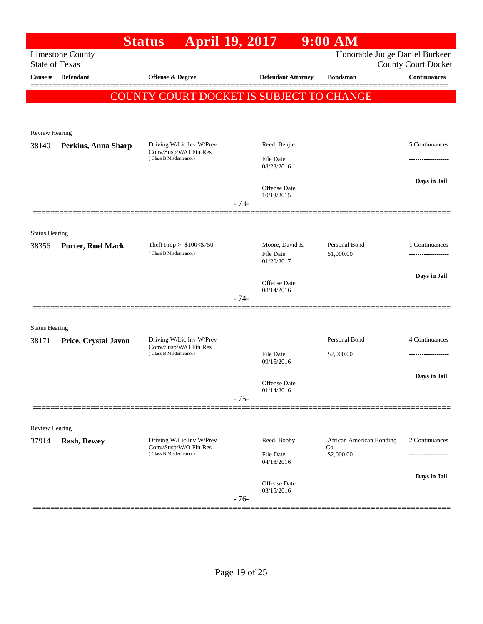|                       |                         | <b>April 19, 2017</b><br><b>Status</b>                                     |        |                                  | $9:00$ AM                      |                            |
|-----------------------|-------------------------|----------------------------------------------------------------------------|--------|----------------------------------|--------------------------------|----------------------------|
| <b>State of Texas</b> | <b>Limestone County</b> |                                                                            |        |                                  | Honorable Judge Daniel Burkeen | <b>County Court Docket</b> |
| Cause #               | Defendant               | <b>Offense &amp; Degree</b>                                                |        | <b>Defendant Attorney</b>        | <b>Bondsman</b>                | <b>Continuances</b>        |
|                       |                         | COUNTY COURT DOCKET IS SUBJECT TO CHANGE                                   |        |                                  |                                |                            |
|                       |                         |                                                                            |        |                                  |                                |                            |
|                       |                         |                                                                            |        |                                  |                                |                            |
| <b>Review Hearing</b> |                         |                                                                            |        |                                  |                                |                            |
| 38140                 | Perkins, Anna Sharp     | Driving W/Lic Inv W/Prev<br>Conv/Susp/W/O Fin Res<br>(Class B Misdemeanor) |        | Reed, Benjie<br><b>File Date</b> |                                | 5 Continuances             |
|                       |                         |                                                                            |        | 08/23/2016                       |                                |                            |
|                       |                         |                                                                            |        | Offense Date                     |                                | Days in Jail               |
|                       |                         |                                                                            | $-73-$ | 10/13/2015                       |                                |                            |
|                       |                         |                                                                            |        |                                  |                                |                            |
| <b>Status Hearing</b> |                         |                                                                            |        |                                  |                                |                            |
| 38356                 | Porter, Ruel Mack       | Theft Prop $>=\$100<\$750$                                                 |        | Moore, David E.                  | Personal Bond                  | 1 Continuances             |
|                       |                         | (Class B Misdemeanor)                                                      |        | <b>File Date</b><br>01/26/2017   | \$1,000.00                     |                            |
|                       |                         |                                                                            |        |                                  |                                | Days in Jail               |
|                       |                         |                                                                            |        | Offense Date<br>08/14/2016       |                                |                            |
|                       |                         |                                                                            | $-74-$ |                                  |                                |                            |
| <b>Status Hearing</b> |                         |                                                                            |        |                                  |                                |                            |
| 38171                 | Price, Crystal Javon    | Driving W/Lic Inv W/Prev                                                   |        |                                  | Personal Bond                  | 4 Continuances             |
|                       |                         | Conv/Susp/W/O Fin Res<br>(Class B Misdemeanor)                             |        | <b>File Date</b>                 | \$2,000.00                     | ------------------         |
|                       |                         |                                                                            |        | 09/15/2016                       |                                |                            |
|                       |                         |                                                                            |        | Offense Date                     |                                | Days in Jail               |
|                       |                         |                                                                            | $-75-$ | 01/14/2016                       |                                |                            |
|                       |                         |                                                                            |        |                                  |                                |                            |
| <b>Review Hearing</b> |                         |                                                                            |        |                                  |                                |                            |
| 37914                 | <b>Rash, Dewey</b>      | Driving W/Lic Inv W/Prev<br>Conv/Susp/W/O Fin Res                          |        | Reed, Bobby                      | African American Bonding<br>Co | 2 Continuances             |
|                       |                         | (Class B Misdemeanor)                                                      |        | <b>File Date</b><br>04/18/2016   | \$2,000.00                     |                            |
|                       |                         |                                                                            |        |                                  |                                | Days in Jail               |
|                       |                         |                                                                            |        | Offense Date<br>03/15/2016       |                                |                            |
|                       |                         |                                                                            | $-76-$ |                                  |                                |                            |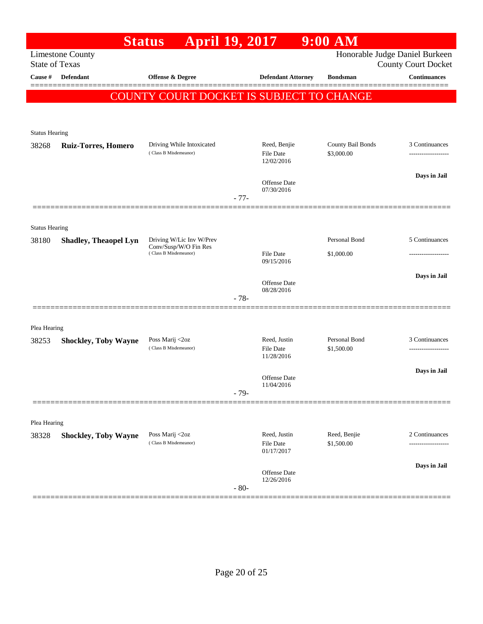|                                |                              | <b>April 19, 2017</b><br><b>Status</b>             |        |                                  | $9:00$ AM                       |                                                              |
|--------------------------------|------------------------------|----------------------------------------------------|--------|----------------------------------|---------------------------------|--------------------------------------------------------------|
| <b>State of Texas</b>          | <b>Limestone County</b>      |                                                    |        |                                  |                                 | Honorable Judge Daniel Burkeen<br><b>County Court Docket</b> |
| Cause #                        | <b>Defendant</b>             | <b>Offense &amp; Degree</b>                        |        | <b>Defendant Attorney</b>        | <b>Bondsman</b>                 | <b>Continuances</b>                                          |
|                                |                              |                                                    |        |                                  |                                 |                                                              |
|                                |                              | COUNTY COURT DOCKET IS SUBJECT TO CHANGE           |        |                                  |                                 |                                                              |
|                                |                              |                                                    |        |                                  |                                 |                                                              |
| <b>Status Hearing</b>          |                              |                                                    |        |                                  |                                 |                                                              |
| 38268                          | <b>Ruiz-Torres, Homero</b>   | Driving While Intoxicated<br>(Class B Misdemeanor) |        | Reed, Benjie<br><b>File Date</b> | County Bail Bonds<br>\$3,000.00 | 3 Continuances<br>-------------------                        |
|                                |                              |                                                    |        | 12/02/2016                       |                                 |                                                              |
|                                |                              |                                                    |        | Offense Date                     |                                 | Days in Jail                                                 |
|                                |                              |                                                    | $-77-$ | 07/30/2016                       |                                 |                                                              |
|                                |                              |                                                    |        |                                  |                                 |                                                              |
|                                |                              |                                                    |        |                                  |                                 |                                                              |
| <b>Status Hearing</b><br>38180 | <b>Shadley, Theaopel Lyn</b> | Driving W/Lic Inv W/Prev                           |        |                                  | Personal Bond                   | 5 Continuances                                               |
|                                |                              | Conv/Susp/W/O Fin Res<br>(Class B Misdemeanor)     |        | <b>File Date</b>                 | \$1,000.00                      |                                                              |
|                                |                              |                                                    |        | 09/15/2016                       |                                 |                                                              |
|                                |                              |                                                    |        | Offense Date                     |                                 | Days in Jail                                                 |
|                                |                              |                                                    | $-78-$ | 08/28/2016                       |                                 |                                                              |
|                                |                              |                                                    |        |                                  |                                 |                                                              |
| Plea Hearing                   |                              |                                                    |        |                                  |                                 |                                                              |
| 38253                          | <b>Shockley, Toby Wayne</b>  | Poss Marij <2oz                                    |        | Reed, Justin                     | Personal Bond                   | 3 Continuances                                               |
|                                |                              | (Class B Misdemeanor)                              |        | <b>File Date</b><br>11/28/2016   | \$1,500.00                      | ------------------                                           |
|                                |                              |                                                    |        |                                  |                                 | Days in Jail                                                 |
|                                |                              |                                                    |        | Offense Date<br>11/04/2016       |                                 |                                                              |
|                                |                              |                                                    | $-79-$ |                                  |                                 |                                                              |
|                                |                              |                                                    |        |                                  |                                 |                                                              |
| Plea Hearing                   |                              |                                                    |        |                                  |                                 |                                                              |
| 38328                          | <b>Shockley, Toby Wayne</b>  | Poss Marij <2oz<br>(Class B Misdemeanor)           |        | Reed, Justin<br><b>File Date</b> | Reed, Benjie<br>\$1,500.00      | 2 Continuances                                               |
|                                |                              |                                                    |        | 01/17/2017                       |                                 |                                                              |
|                                |                              |                                                    |        | Offense Date                     |                                 | Days in Jail                                                 |
|                                |                              |                                                    | $-80-$ | 12/26/2016                       |                                 |                                                              |
|                                |                              |                                                    |        |                                  |                                 |                                                              |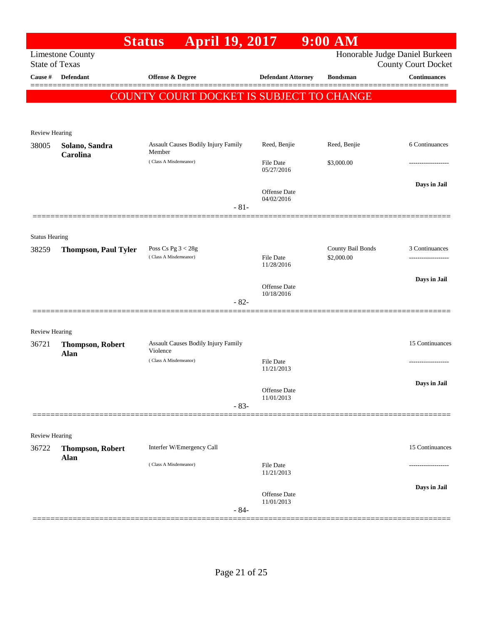|                       |                             | <b>April 19, 2017</b><br><b>Status</b>               |                                   | $9:00$ AM                                    |                                                              |
|-----------------------|-----------------------------|------------------------------------------------------|-----------------------------------|----------------------------------------------|--------------------------------------------------------------|
| <b>State of Texas</b> | <b>Limestone County</b>     |                                                      |                                   |                                              | Honorable Judge Daniel Burkeen<br><b>County Court Docket</b> |
| Cause #               | <b>Defendant</b>            | <b>Offense &amp; Degree</b>                          |                                   | <b>Defendant Attorney</b><br><b>Bondsman</b> | <b>Continuances</b>                                          |
|                       |                             | COUNTY COURT DOCKET IS SUBJECT TO CHANGE             |                                   |                                              |                                                              |
|                       |                             |                                                      |                                   |                                              |                                                              |
| Review Hearing        |                             |                                                      |                                   |                                              |                                                              |
| 38005                 | Solano, Sandra              | <b>Assault Causes Bodily Injury Family</b><br>Member | Reed, Benjie                      | Reed, Benjie                                 | 6 Continuances                                               |
|                       | Carolina                    | (Class A Misdemeanor)                                | File Date<br>05/27/2016           | \$3,000.00                                   | -----------------                                            |
|                       |                             |                                                      | <b>Offense Date</b><br>04/02/2016 |                                              | Days in Jail                                                 |
|                       |                             |                                                      | $-81-$                            |                                              |                                                              |
| <b>Status Hearing</b> |                             |                                                      |                                   |                                              |                                                              |
| 38259                 | <b>Thompson, Paul Tyler</b> | Poss Cs Pg $3 < 28g$<br>(Class A Misdemeanor)        | <b>File Date</b><br>11/28/2016    | County Bail Bonds<br>\$2,000.00              | 3 Continuances                                               |
|                       |                             |                                                      | Offense Date                      |                                              | Days in Jail                                                 |
|                       |                             | $-82-$                                               | 10/18/2016                        |                                              |                                                              |
| <b>Review Hearing</b> |                             |                                                      |                                   |                                              |                                                              |
| 36721                 | <b>Thompson, Robert</b>     | Assault Causes Bodily Injury Family<br>Violence      |                                   |                                              | 15 Continuances                                              |
|                       | Alan                        | (Class A Misdemeanor)                                | <b>File Date</b><br>11/21/2013    |                                              |                                                              |
|                       |                             |                                                      | Offense Date<br>11/01/2013        |                                              | Days in Jail                                                 |
|                       |                             |                                                      | $-83-$                            |                                              |                                                              |
| Review Hearing        |                             |                                                      |                                   |                                              |                                                              |
| 36722                 | <b>Thompson, Robert</b>     | Interfer W/Emergency Call                            |                                   |                                              | 15 Continuances                                              |
|                       | Alan                        | (Class A Misdemeanor)                                | <b>File Date</b><br>11/21/2013    |                                              |                                                              |
|                       |                             |                                                      | <b>Offense Date</b><br>11/01/2013 |                                              | Days in Jail                                                 |
|                       |                             |                                                      | $-84-$                            |                                              |                                                              |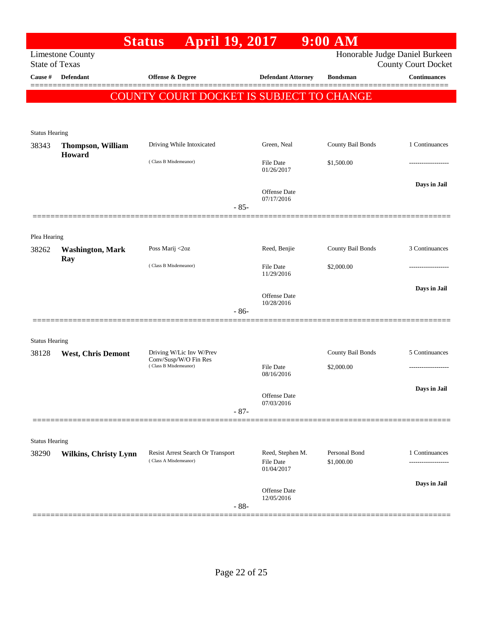|                       |                                                  | <b>April 19, 2017</b><br><b>Status</b>                     |                                             | $9:00$ AM                      |                                                   |
|-----------------------|--------------------------------------------------|------------------------------------------------------------|---------------------------------------------|--------------------------------|---------------------------------------------------|
|                       | <b>Limestone County</b><br><b>State of Texas</b> |                                                            |                                             | Honorable Judge Daniel Burkeen |                                                   |
| Cause #               | <b>Defendant</b>                                 | Offense & Degree                                           | <b>Defendant Attorney</b>                   | <b>Bondsman</b>                | <b>County Court Docket</b><br><b>Continuances</b> |
|                       |                                                  |                                                            |                                             |                                |                                                   |
|                       |                                                  | COUNTY COURT DOCKET IS SUBJECT TO CHANGE                   |                                             |                                |                                                   |
|                       |                                                  |                                                            |                                             |                                |                                                   |
| <b>Status Hearing</b> |                                                  |                                                            |                                             |                                |                                                   |
| 38343                 | <b>Thompson, William</b><br>Howard               | Driving While Intoxicated                                  | Green, Neal                                 | County Bail Bonds              | 1 Continuances                                    |
|                       |                                                  | (Class B Misdemeanor)                                      | <b>File Date</b><br>01/26/2017              | \$1,500.00                     |                                                   |
|                       |                                                  |                                                            | Offense Date                                |                                | Days in Jail                                      |
|                       |                                                  |                                                            | 07/17/2016<br>$-85-$                        |                                |                                                   |
|                       |                                                  |                                                            |                                             |                                |                                                   |
| Plea Hearing          |                                                  |                                                            |                                             |                                |                                                   |
| 38262                 | <b>Washington, Mark</b>                          | Poss Marij <2oz                                            | Reed, Benjie                                | County Bail Bonds              | 3 Continuances                                    |
|                       | Ray                                              | (Class B Misdemeanor)                                      | File Date<br>11/29/2016                     | \$2,000.00                     |                                                   |
|                       |                                                  |                                                            |                                             |                                | Days in Jail                                      |
|                       |                                                  |                                                            | Offense Date<br>10/28/2016                  |                                |                                                   |
|                       |                                                  |                                                            | $-86-$                                      |                                |                                                   |
| <b>Status Hearing</b> |                                                  |                                                            |                                             |                                |                                                   |
| 38128                 | <b>West, Chris Demont</b>                        | Driving W/Lic Inv W/Prev                                   |                                             | County Bail Bonds              | 5 Continuances                                    |
|                       |                                                  | Conv/Susp/W/O Fin Res<br>(Class B Misdemeanor)             | File Date                                   | \$2,000.00                     |                                                   |
|                       |                                                  |                                                            | 08/16/2016                                  |                                | Days in Jail                                      |
|                       |                                                  |                                                            | Offense Date<br>07/03/2016                  |                                |                                                   |
|                       |                                                  |                                                            | $-87-$                                      |                                |                                                   |
|                       |                                                  |                                                            |                                             |                                |                                                   |
| <b>Status Hearing</b> |                                                  |                                                            |                                             |                                |                                                   |
| 38290                 | <b>Wilkins, Christy Lynn</b>                     | Resist Arrest Search Or Transport<br>(Class A Misdemeanor) | Reed, Stephen M.<br>File Date<br>01/04/2017 | Personal Bond<br>\$1,000.00    | 1 Continuances                                    |
|                       |                                                  |                                                            |                                             |                                | Days in Jail                                      |
|                       |                                                  |                                                            | Offense Date<br>12/05/2016<br>$-88-$        |                                |                                                   |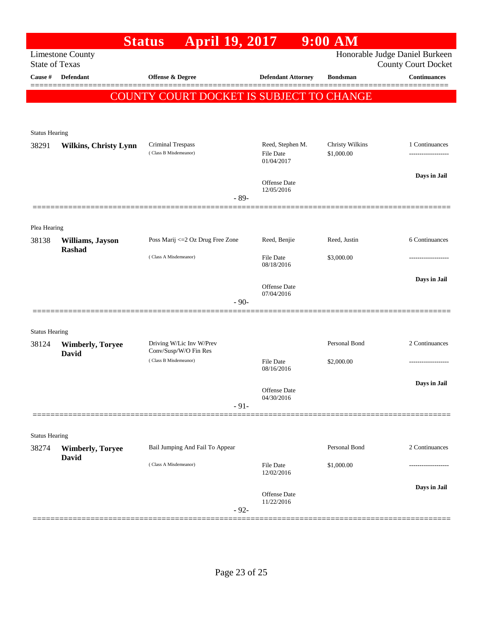|                                  |                              | Status April 19, 2017                           |                                   | $9:00$ AM              |                                                   |
|----------------------------------|------------------------------|-------------------------------------------------|-----------------------------------|------------------------|---------------------------------------------------|
|                                  | <b>Limestone County</b>      |                                                 |                                   |                        | Honorable Judge Daniel Burkeen                    |
| <b>State of Texas</b><br>Cause # | Defendant                    | Offense & Degree                                | <b>Defendant Attorney</b>         | <b>Bondsman</b>        | <b>County Court Docket</b><br><b>Continuances</b> |
|                                  |                              |                                                 |                                   |                        |                                                   |
|                                  |                              | <b>COUNTY COURT DOCKET IS SUBJECT TO CHANGE</b> |                                   |                        |                                                   |
|                                  |                              |                                                 |                                   |                        |                                                   |
| <b>Status Hearing</b>            |                              |                                                 |                                   |                        |                                                   |
| 38291                            | <b>Wilkins, Christy Lynn</b> | Criminal Trespass                               | Reed, Stephen M.                  | <b>Christy Wilkins</b> | 1 Continuances                                    |
|                                  |                              | (Class B Misdemeanor)                           | File Date<br>01/04/2017           | \$1,000.00             |                                                   |
|                                  |                              |                                                 |                                   |                        | Days in Jail                                      |
|                                  |                              |                                                 | <b>Offense Date</b><br>12/05/2016 |                        |                                                   |
|                                  |                              | - 89-                                           |                                   |                        |                                                   |
|                                  |                              |                                                 |                                   |                        |                                                   |
| Plea Hearing<br>38138            | Williams, Jayson             | Poss Marij <= 2 Oz Drug Free Zone               | Reed, Benjie                      | Reed, Justin           | 6 Continuances                                    |
|                                  | Rashad                       | (Class A Misdemeanor)                           | <b>File Date</b>                  | \$3,000.00             |                                                   |
|                                  |                              |                                                 | 08/18/2016                        |                        |                                                   |
|                                  |                              |                                                 | <b>Offense Date</b>               |                        | Days in Jail                                      |
|                                  |                              | $-90-$                                          | 07/04/2016                        |                        |                                                   |
|                                  |                              |                                                 |                                   |                        |                                                   |
| <b>Status Hearing</b>            |                              |                                                 |                                   |                        |                                                   |
| 38124                            | <b>Wimberly, Toryee</b>      | Driving W/Lic Inv W/Prev                        |                                   | Personal Bond          | 2 Continuances                                    |
|                                  | <b>David</b>                 | Conv/Susp/W/O Fin Res<br>(Class B Misdemeanor)  | <b>File Date</b>                  | \$2,000.00             |                                                   |
|                                  |                              |                                                 | 08/16/2016                        |                        |                                                   |
|                                  |                              |                                                 | Offense Date                      |                        | Days in Jail                                      |
|                                  |                              | $-91-$                                          | 04/30/2016                        |                        |                                                   |
|                                  |                              |                                                 |                                   |                        |                                                   |
| <b>Status Hearing</b>            |                              |                                                 |                                   |                        |                                                   |
| 38274                            | <b>Wimberly, Toryee</b>      | Bail Jumping And Fail To Appear                 |                                   | Personal Bond          | 2 Continuances                                    |
|                                  | David                        | (Class A Misdemeanor)                           | <b>File Date</b>                  | \$1,000.00             |                                                   |
|                                  |                              |                                                 | 12/02/2016                        |                        |                                                   |
|                                  |                              |                                                 | <b>Offense Date</b>               |                        | Days in Jail                                      |
|                                  |                              | $-92-$                                          | 11/22/2016                        |                        |                                                   |
|                                  |                              |                                                 |                                   |                        |                                                   |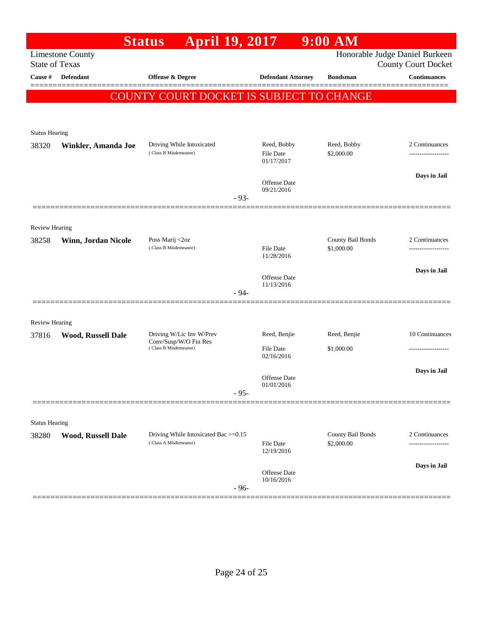|                                |                           | April 19, 2017<br><b>Status</b>                               |                                   | $9:00$ AM                       |                                                              |
|--------------------------------|---------------------------|---------------------------------------------------------------|-----------------------------------|---------------------------------|--------------------------------------------------------------|
| <b>State of Texas</b>          | <b>Limestone County</b>   |                                                               |                                   |                                 | Honorable Judge Daniel Burkeen<br><b>County Court Docket</b> |
| Cause #                        | Defendant                 | Offense & Degree                                              | <b>Defendant Attorney</b>         | <b>Bondsman</b>                 | <b>Continuances</b>                                          |
|                                |                           |                                                               |                                   |                                 |                                                              |
|                                |                           | <b>COUNTY COURT DOCKET IS SUBJECT TO CHANGE</b>               |                                   |                                 |                                                              |
|                                |                           |                                                               |                                   |                                 |                                                              |
| <b>Status Hearing</b>          |                           |                                                               |                                   |                                 |                                                              |
| 38320                          | Winkler, Amanda Joe       | Driving While Intoxicated<br>(Class B Misdemeanor)            | Reed, Bobby                       | Reed, Bobby                     | 2 Continuances                                               |
|                                |                           |                                                               | File Date<br>01/17/2017           | \$2,000.00                      | -----------------                                            |
|                                |                           |                                                               | <b>Offense Date</b>               |                                 | Days in Jail                                                 |
|                                |                           |                                                               | 09/21/2016                        |                                 |                                                              |
|                                |                           |                                                               | $-93-$                            |                                 |                                                              |
|                                |                           |                                                               |                                   |                                 |                                                              |
| <b>Review Hearing</b><br>38258 | Winn, Jordan Nicole       | Poss Marij <2oz                                               |                                   | County Bail Bonds               | 2 Continuances                                               |
|                                |                           | (Class B Misdemeanor)                                         | <b>File Date</b><br>11/28/2016    | \$1,000.00                      |                                                              |
|                                |                           |                                                               |                                   |                                 | Days in Jail                                                 |
|                                |                           |                                                               | <b>Offense Date</b><br>11/13/2016 |                                 |                                                              |
|                                |                           |                                                               | $-94-$                            |                                 |                                                              |
|                                |                           |                                                               |                                   |                                 |                                                              |
| Review Hearing                 |                           |                                                               |                                   |                                 |                                                              |
| 37816                          | <b>Wood, Russell Dale</b> | Driving W/Lic Inv W/Prev<br>Conv/Susp/W/O Fin Res             | Reed, Benjie                      | Reed, Benjie                    | 10 Continuances                                              |
|                                |                           | (Class B Misdemeanor)                                         | <b>File Date</b><br>02/16/2016    | \$1,000.00                      | ----------------                                             |
|                                |                           |                                                               |                                   |                                 | Days in Jail                                                 |
|                                |                           |                                                               | Offense Date<br>01/01/2016        |                                 |                                                              |
|                                |                           |                                                               | $-95-$                            |                                 |                                                              |
|                                |                           |                                                               |                                   |                                 |                                                              |
| <b>Status Hearing</b>          |                           |                                                               |                                   |                                 |                                                              |
| 38280                          | Wood, Russell Dale        | Driving While Intoxicated Bac >=0.15<br>(Class A Misdemeanor) | <b>File Date</b>                  | County Bail Bonds<br>\$2,000.00 | 2 Continuances<br>.                                          |
|                                |                           |                                                               | 12/19/2016                        |                                 |                                                              |
|                                |                           |                                                               | Offense Date                      |                                 | Days in Jail                                                 |
|                                |                           |                                                               | 10/16/2016<br>$-96-$              |                                 |                                                              |
|                                |                           |                                                               |                                   |                                 |                                                              |